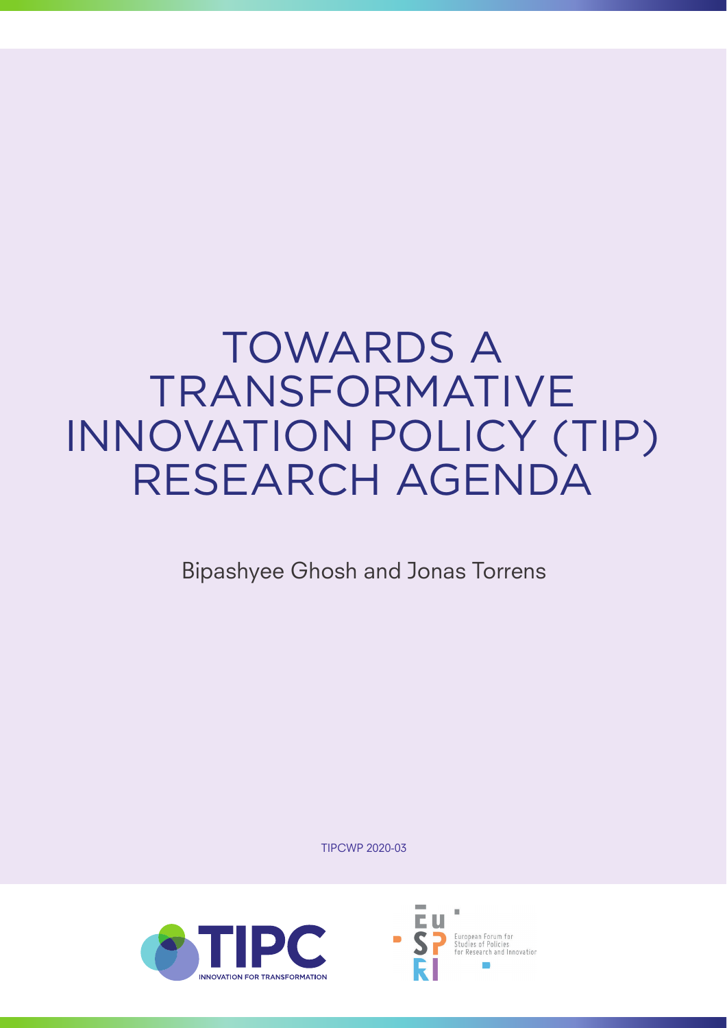# TOWARDS A TRANSFORMATIVE INNOVATION POLICY (TIP) RESEARCH AGENDA

Bipashyee Ghosh and Jonas Torrens

TIPCWP 2020-03



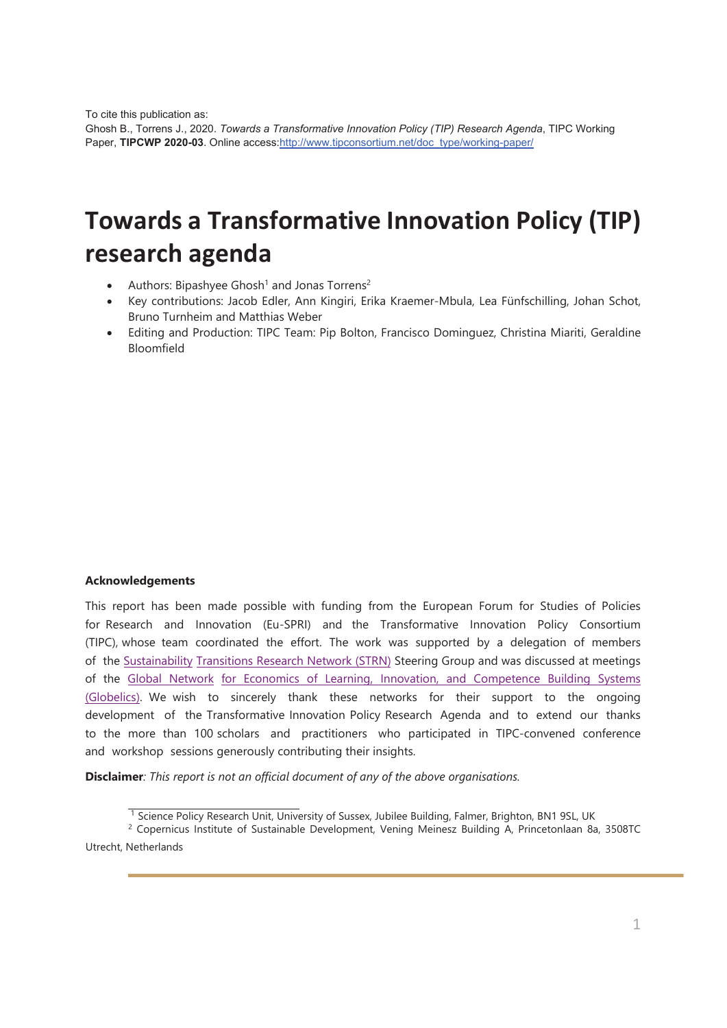To cite this publication as:

Ghosh B., Torrens J., 2020. *Towards a Transformative Innovation Policy (TIP) Research Agenda*, TIPC Working Paper, **TIPCWP 2020-03**. Online access:http://www.tipconsortium.net/doc\_type/working-paper/

# **Towards a Transformative Innovation Policy (TIP) research agenda**

- Authors: Bipashyee Ghosh<sup>1</sup> and Jonas Torrens<sup>2</sup>
- x Key contributions: Jacob Edler, Ann Kingiri, Erika Kraemer-Mbula, Lea Fünfschilling, Johan Schot, Bruno Turnheim and Matthias Weber
- Editing and Production: TIPC Team: Pip Bolton, Francisco Dominguez, Christina Miariti, Geraldine Bloomfield

## **Acknowledgements**

This report has been made possible with funding from the European Forum for Studies of Policies for Research and Innovation (Eu-SPRI) and the Transformative Innovation Policy Consortium (TIPC), whose team coordinated the effort. The work was supported by a delegation of members of the Sustainability Transitions Research Network (STRN) Steering Group and was discussed at meetings of the Global Network for Economics of Learning, Innovation, and Competence Building Systems (Globelics). We wish to sincerely thank these networks for their support to the ongoing development of the Transformative Innovation Policy Research Agenda and to extend our thanks to the more than 100 scholars and practitioners who participated in TIPC-convened conference and workshop sessions generously contributing their insights.

**Disclaimer***: This report is not an official document of any of the above organisations.* 

<sup>&</sup>lt;sup>1</sup> Science Policy Research Unit, University of Sussex, Jubilee Building, Falmer, Brighton, BN1 9SL, UK

<sup>2</sup> Copernicus Institute of Sustainable Development, Vening Meinesz Building A, Princetonlaan 8a, 3508TC Utrecht, Netherlands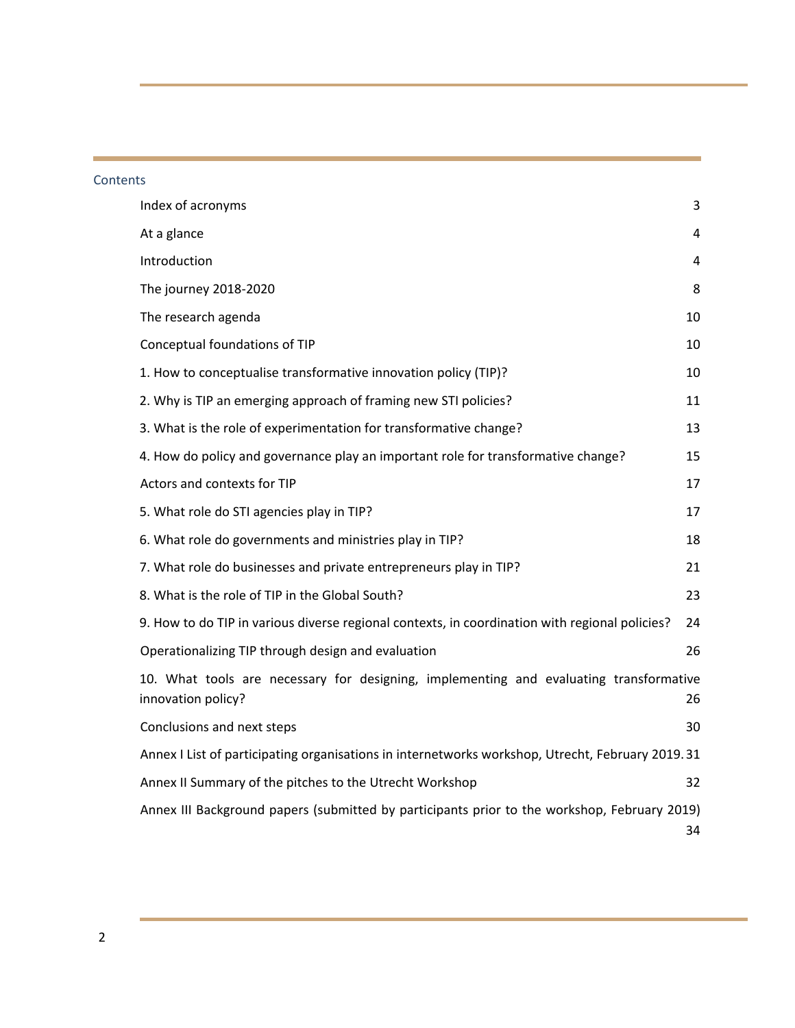## **Contents**

| Index of acronyms                                                                                            | 3  |
|--------------------------------------------------------------------------------------------------------------|----|
| At a glance                                                                                                  | 4  |
| Introduction                                                                                                 | 4  |
| The journey 2018-2020                                                                                        | 8  |
| The research agenda                                                                                          | 10 |
| Conceptual foundations of TIP                                                                                | 10 |
| 1. How to conceptualise transformative innovation policy (TIP)?                                              | 10 |
| 2. Why is TIP an emerging approach of framing new STI policies?                                              | 11 |
| 3. What is the role of experimentation for transformative change?                                            | 13 |
| 4. How do policy and governance play an important role for transformative change?                            | 15 |
| Actors and contexts for TIP                                                                                  | 17 |
| 5. What role do STI agencies play in TIP?                                                                    | 17 |
| 6. What role do governments and ministries play in TIP?                                                      | 18 |
| 7. What role do businesses and private entrepreneurs play in TIP?                                            | 21 |
| 8. What is the role of TIP in the Global South?                                                              | 23 |
| 9. How to do TIP in various diverse regional contexts, in coordination with regional policies?               | 24 |
| Operationalizing TIP through design and evaluation                                                           | 26 |
| 10. What tools are necessary for designing, implementing and evaluating transformative<br>innovation policy? | 26 |
| Conclusions and next steps                                                                                   | 30 |
| Annex I List of participating organisations in internetworks workshop, Utrecht, February 2019.31             |    |
| Annex II Summary of the pitches to the Utrecht Workshop                                                      | 32 |
| Annex III Background papers (submitted by participants prior to the workshop, February 2019)                 | 34 |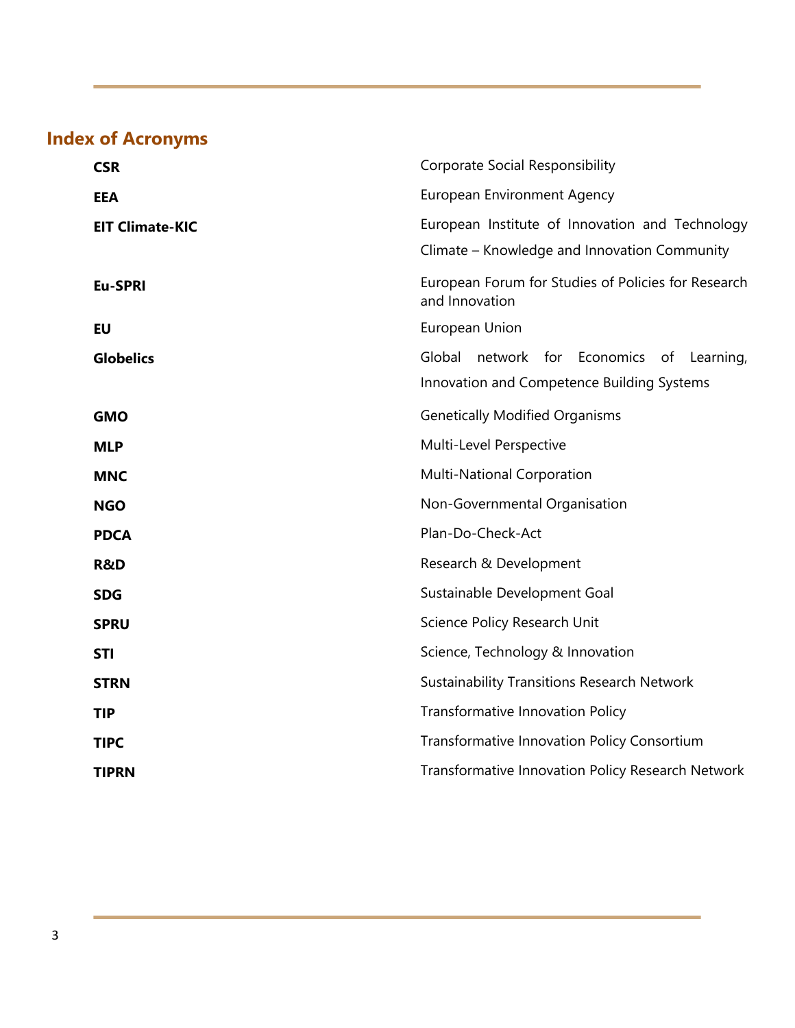## **Index of Acronyms**

| <b>CSR</b>             | <b>Corporate Social Responsibility</b>                                                          |
|------------------------|-------------------------------------------------------------------------------------------------|
| <b>EEA</b>             | <b>European Environment Agency</b>                                                              |
| <b>EIT Climate-KIC</b> | European Institute of Innovation and Technology<br>Climate – Knowledge and Innovation Community |
| Eu-SPRI                | European Forum for Studies of Policies for Research<br>and Innovation                           |
| <b>EU</b>              | European Union                                                                                  |
| <b>Globelics</b>       | Global<br>network for Economics of Learning,<br>Innovation and Competence Building Systems      |
| <b>GMO</b>             | <b>Genetically Modified Organisms</b>                                                           |
| <b>MLP</b>             | Multi-Level Perspective                                                                         |
| <b>MNC</b>             | <b>Multi-National Corporation</b>                                                               |
| <b>NGO</b>             | Non-Governmental Organisation                                                                   |
| <b>PDCA</b>            | Plan-Do-Check-Act                                                                               |
| <b>R&amp;D</b>         | Research & Development                                                                          |
| <b>SDG</b>             | Sustainable Development Goal                                                                    |
| <b>SPRU</b>            | Science Policy Research Unit                                                                    |
| <b>STI</b>             | Science, Technology & Innovation                                                                |
| <b>STRN</b>            | <b>Sustainability Transitions Research Network</b>                                              |
| <b>TIP</b>             | <b>Transformative Innovation Policy</b>                                                         |
| <b>TIPC</b>            | <b>Transformative Innovation Policy Consortium</b>                                              |
| <b>TIPRN</b>           | Transformative Innovation Policy Research Network                                               |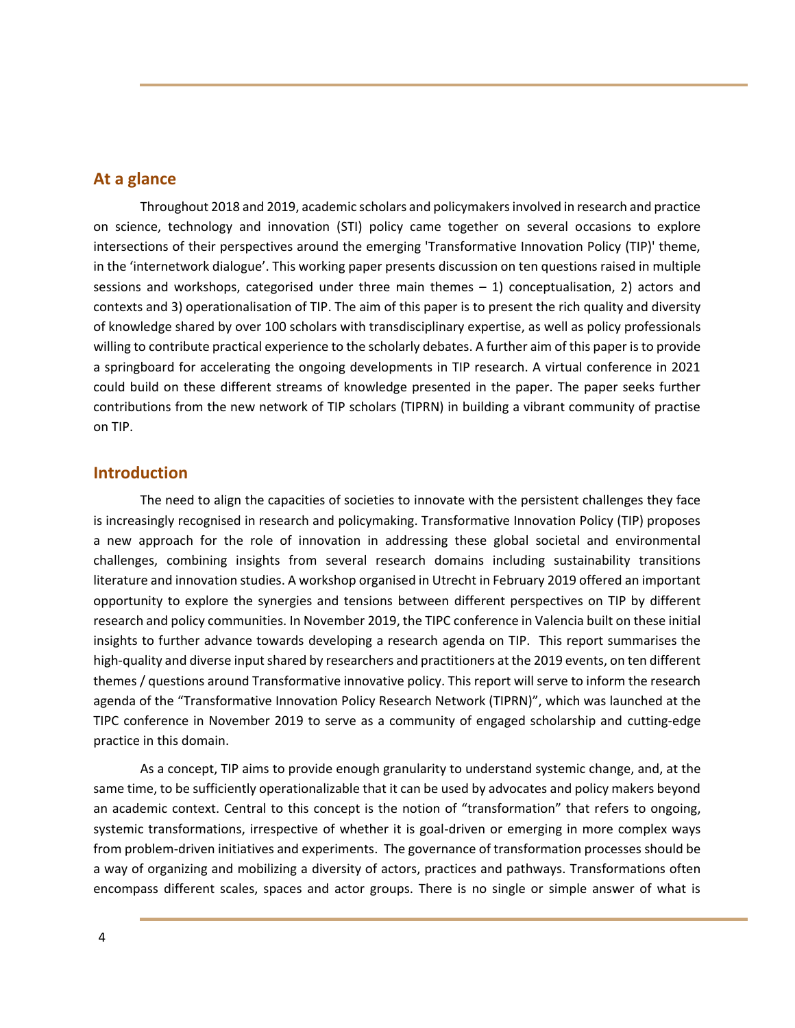## **At a glance**

Throughout 2018 and 2019, academic scholars and policymakers involved in research and practice on science, technology and innovation (STI) policy came together on several occasions to explore intersections of their perspectives around the emerging 'Transformative Innovation Policy (TIP)' theme, in the 'internetwork dialogue'. This working paper presents discussion on ten questions raised in multiple sessions and workshops, categorised under three main themes – 1) conceptualisation, 2) actors and contexts and 3) operationalisation of TIP. The aim of this paper is to present the rich quality and diversity of knowledge shared by over 100 scholars with transdisciplinary expertise, as well as policy professionals willing to contribute practical experience to the scholarly debates. A further aim of this paper is to provide a springboard for accelerating the ongoing developments in TIP research. A virtual conference in 2021 could build on these different streams of knowledge presented in the paper. The paper seeks further contributions from the new network of TIP scholars (TIPRN) in building a vibrant community of practise on TIP.

## **Introduction**

The need to align the capacities of societies to innovate with the persistent challenges they face is increasingly recognised in research and policymaking. Transformative Innovation Policy (TIP) proposes a new approach for the role of innovation in addressing these global societal and environmental challenges, combining insights from several research domains including sustainability transitions literature and innovation studies. A workshop organised in Utrecht in February 2019 offered an important opportunity to explore the synergies and tensions between different perspectives on TIP by different research and policy communities. In November 2019, the TIPC conference in Valencia built on these initial insights to further advance towards developing a research agenda on TIP. This report summarises the high-quality and diverse input shared by researchers and practitioners at the 2019 events, on ten different themes / questions around Transformative innovative policy. This report will serve to inform the research agenda of the "Transformative Innovation Policy Research Network (TIPRN)", which was launched at the TIPC conference in November 2019 to serve as a community of engaged scholarship and cutting-edge practice in this domain.

As a concept, TIP aims to provide enough granularity to understand systemic change, and, at the same time, to be sufficiently operationalizable that it can be used by advocates and policy makers beyond an academic context. Central to this concept is the notion of "transformation" that refers to ongoing, systemic transformations, irrespective of whether it is goal-driven or emerging in more complex ways from problem-driven initiatives and experiments. The governance of transformation processes should be a way of organizing and mobilizing a diversity of actors, practices and pathways. Transformations often encompass different scales, spaces and actor groups. There is no single or simple answer of what is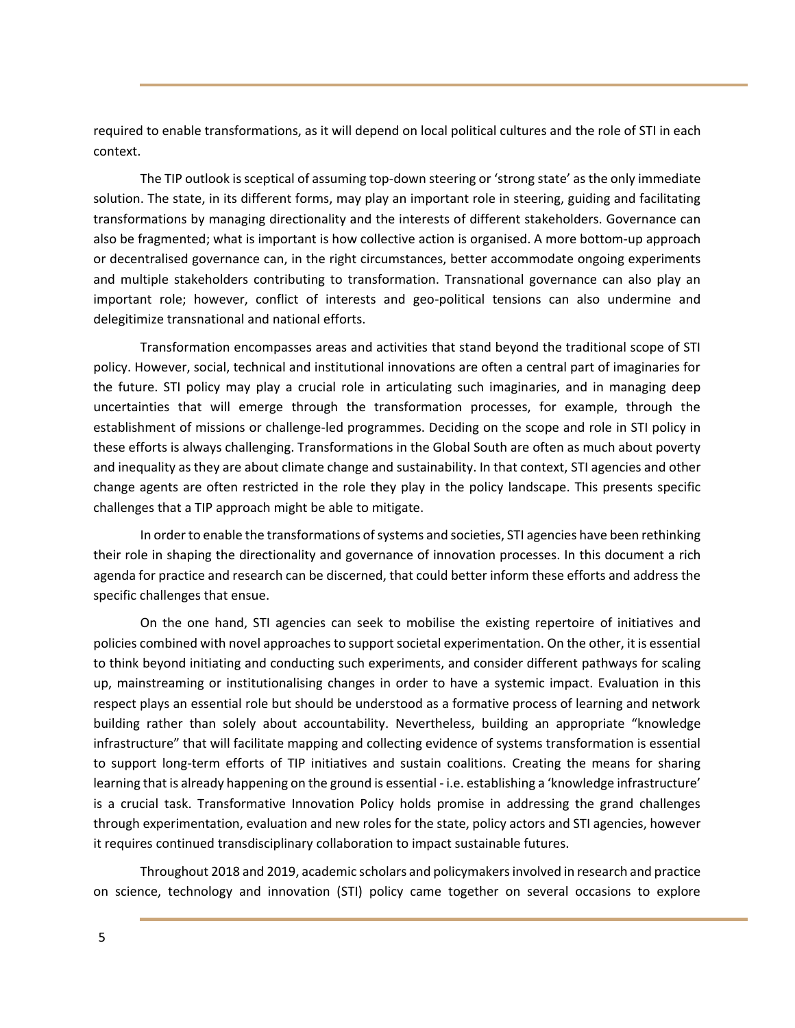required to enable transformations, as it will depend on local political cultures and the role of STI in each context.

The TIP outlook is sceptical of assuming top-down steering or 'strong state' as the only immediate solution. The state, in its different forms, may play an important role in steering, guiding and facilitating transformations by managing directionality and the interests of different stakeholders. Governance can also be fragmented; what is important is how collective action is organised. A more bottom-up approach or decentralised governance can, in the right circumstances, better accommodate ongoing experiments and multiple stakeholders contributing to transformation. Transnational governance can also play an important role; however, conflict of interests and geo-political tensions can also undermine and delegitimize transnational and national efforts.

Transformation encompasses areas and activities that stand beyond the traditional scope of STI policy. However, social, technical and institutional innovations are often a central part of imaginaries for the future. STI policy may play a crucial role in articulating such imaginaries, and in managing deep uncertainties that will emerge through the transformation processes, for example, through the establishment of missions or challenge-led programmes. Deciding on the scope and role in STI policy in these efforts is always challenging. Transformations in the Global South are often as much about poverty and inequality as they are about climate change and sustainability. In that context, STI agencies and other change agents are often restricted in the role they play in the policy landscape. This presents specific challenges that a TIP approach might be able to mitigate.

In order to enable the transformations of systems and societies, STI agencies have been rethinking their role in shaping the directionality and governance of innovation processes. In this document a rich agenda for practice and research can be discerned, that could better inform these efforts and address the specific challenges that ensue.

On the one hand, STI agencies can seek to mobilise the existing repertoire of initiatives and policies combined with novel approaches to support societal experimentation. On the other, it is essential to think beyond initiating and conducting such experiments, and consider different pathways for scaling up, mainstreaming or institutionalising changes in order to have a systemic impact. Evaluation in this respect plays an essential role but should be understood as a formative process of learning and network building rather than solely about accountability. Nevertheless, building an appropriate "knowledge infrastructure" that will facilitate mapping and collecting evidence of systems transformation is essential to support long-term efforts of TIP initiatives and sustain coalitions. Creating the means for sharing learning that is already happening on the ground is essential - i.e. establishing a 'knowledge infrastructure' is a crucial task. Transformative Innovation Policy holds promise in addressing the grand challenges through experimentation, evaluation and new roles for the state, policy actors and STI agencies, however it requires continued transdisciplinary collaboration to impact sustainable futures.

Throughout 2018 and 2019, academic scholars and policymakers involved in research and practice on science, technology and innovation (STI) policy came together on several occasions to explore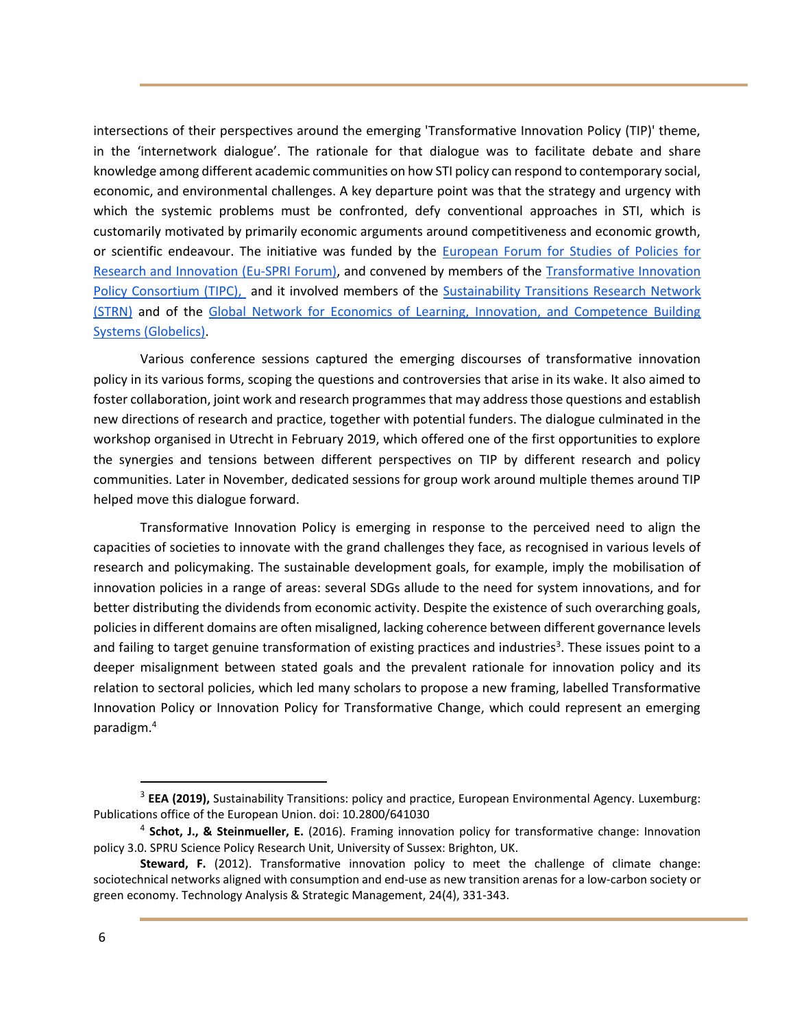intersections of their perspectives around the emerging 'Transformative Innovation Policy (TIP)' theme, in the 'internetwork dialogue'. The rationale for that dialogue was to facilitate debate and share knowledge among different academic communities on how STI policy can respond to contemporary social, economic, and environmental challenges. A key departure point was that the strategy and urgency with which the systemic problems must be confronted, defy conventional approaches in STI, which is customarily motivated by primarily economic arguments around competitiveness and economic growth, or scientific endeavour. The initiative was funded by the [European Forum for Studies of Policies for](https://www.euspri-forum.eu/)  [Research and Innovation \(Eu-SPRI Forum\),](https://www.euspri-forum.eu/) and convened by members of the [Transformative Innovation](http://www.tipconsortium.net/)  [Policy Consortium \(TIPC\),](http://www.tipconsortium.net/) and it involved members of the [Sustainability Transitions Research Network](https://transitionsnetwork.org/)  [\(STRN\)](https://transitionsnetwork.org/) and of the [Global Network for Economics of Learning, Innovation, and Competence Building](http://www.globelics.org/)  [Systems \(Globelics\).](http://www.globelics.org/)

Various conference sessions captured the emerging discourses of transformative innovation policy in its various forms, scoping the questions and controversies that arise in its wake. It also aimed to foster collaboration, joint work and research programmes that may address those questions and establish new directions of research and practice, together with potential funders. The dialogue culminated in the workshop organised in Utrecht in February 2019, which offered one of the first opportunities to explore the synergies and tensions between different perspectives on TIP by different research and policy communities. Later in November, dedicated sessions for group work around multiple themes around TIP helped move this dialogue forward.

Transformative Innovation Policy is emerging in response to the perceived need to align the capacities of societies to innovate with the grand challenges they face, as recognised in various levels of research and policymaking. The sustainable development goals, for example, imply the mobilisation of innovation policies in a range of areas: several SDGs allude to the need for system innovations, and for better distributing the dividends from economic activity. Despite the existence of such overarching goals, policies in different domains are often misaligned, lacking coherence between different governance levels and failing to target genuine transformation of existing practices and industries<sup>3</sup>. These issues point to a deeper misalignment between stated goals and the prevalent rationale for innovation policy and its relation to sectoral policies, which led many scholars to propose a new framing, labelled Transformative Innovation Policy or Innovation Policy for Transformative Change, which could represent an emerging paradigm.<sup>4</sup>

<sup>&</sup>lt;sup>3</sup> EEA (2019), Sustainability Transitions: policy and practice, European Environmental Agency. Luxemburg: Publications office of the European Union. doi: 10.2800/641030

<sup>4</sup> **Schot, J., & Steinmueller, E.** (2016). Framing innovation policy for transformative change: Innovation policy 3.0. SPRU Science Policy Research Unit, University of Sussex: Brighton, UK.

**Steward, F.** (2012). Transformative innovation policy to meet the challenge of climate change: sociotechnical networks aligned with consumption and end-use as new transition arenas for a low-carbon society or green economy. Technology Analysis & Strategic Management, 24(4), 331-343.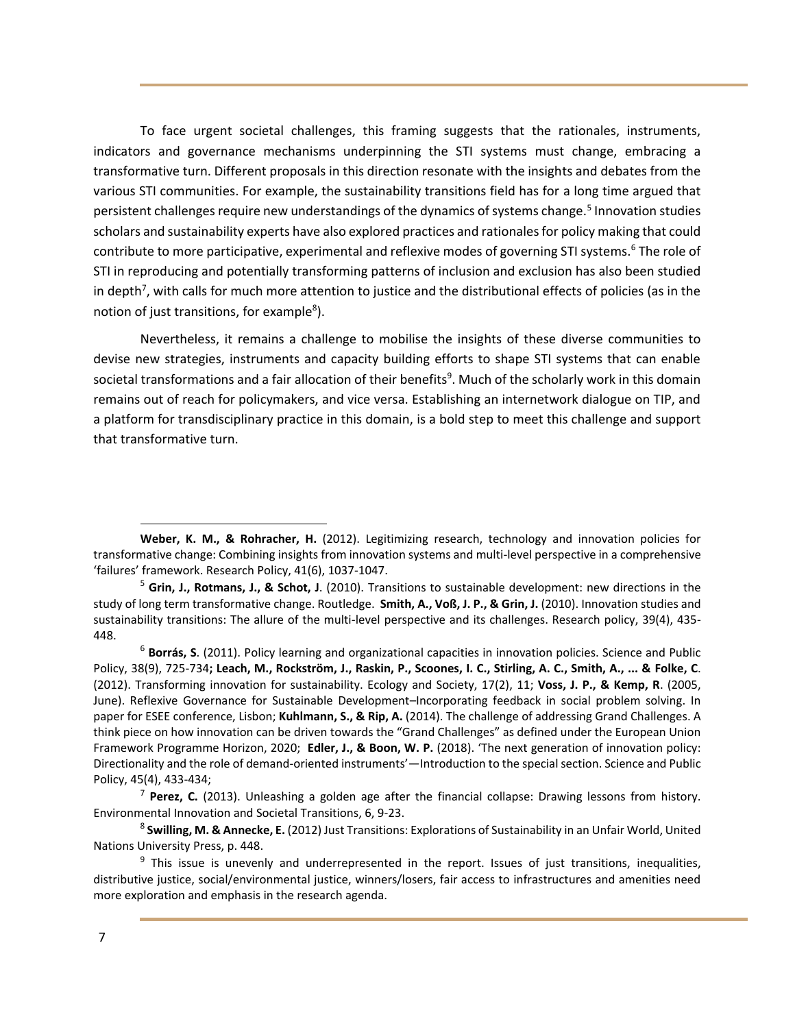To face urgent societal challenges, this framing suggests that the rationales, instruments, indicators and governance mechanisms underpinning the STI systems must change, embracing a transformative turn. Different proposals in this direction resonate with the insights and debates from the various STI communities. For example, the sustainability transitions field has for a long time argued that persistent challenges require new understandings of the dynamics of systems change.<sup>5</sup> Innovation studies scholars and sustainability experts have also explored practices and rationales for policy making that could contribute to more participative, experimental and reflexive modes of governing STI systems.<sup>6</sup> The role of STI in reproducing and potentially transforming patterns of inclusion and exclusion has also been studied in depth<sup>7</sup>, with calls for much more attention to justice and the distributional effects of policies (as in the notion of just transitions, for example<sup>8</sup>).

Nevertheless, it remains a challenge to mobilise the insights of these diverse communities to devise new strategies, instruments and capacity building efforts to shape STI systems that can enable societal transformations and a fair allocation of their benefits<sup>9</sup>. Much of the scholarly work in this domain remains out of reach for policymakers, and vice versa. Establishing an internetwork dialogue on TIP, and a platform for transdisciplinary practice in this domain, is a bold step to meet this challenge and support that transformative turn.

**Weber, K. M., & Rohracher, H.** (2012). Legitimizing research, technology and innovation policies for transformative change: Combining insights from innovation systems and multi-level perspective in a comprehensive 'failures' framework. Research Policy, 41(6), 1037-1047.

<sup>5</sup> **Grin, J., Rotmans, J., & Schot, J**. (2010). Transitions to sustainable development: new directions in the study of long term transformative change. Routledge. **Smith, A., Voß, J. P., & Grin, J.** (2010). Innovation studies and sustainability transitions: The allure of the multi-level perspective and its challenges. Research policy, 39(4), 435- 448.

<sup>6</sup> **Borrás, S**. (2011). Policy learning and organizational capacities in innovation policies. Science and Public Policy, 38(9), 725-734**; Leach, M., Rockström, J., Raskin, P., Scoones, I. C., Stirling, A. C., Smith, A., ... & Folke, C**. (2012). Transforming innovation for sustainability. Ecology and Society, 17(2), 11; **Voss, J. P., & Kemp, R**. (2005, June). Reflexive Governance for Sustainable Development–Incorporating feedback in social problem solving. In paper for ESEE conference, Lisbon; **Kuhlmann, S., & Rip, A.** (2014). The challenge of addressing Grand Challenges. A think piece on how innovation can be driven towards the "Grand Challenges" as defined under the European Union Framework Programme Horizon, 2020; **Edler, J., & Boon, W. P.** (2018). 'The next generation of innovation policy: Directionality and the role of demand-oriented instruments'—Introduction to the special section. Science and Public Policy, 45(4), 433-434;

<sup>7</sup> **Perez, C.** (2013). Unleashing a golden age after the financial collapse: Drawing lessons from history. Environmental Innovation and Societal Transitions, 6, 9-23.

<sup>8</sup> **Swilling, M. & Annecke, E.** (2012) Just Transitions: Explorations of Sustainability in an Unfair World, United Nations University Press, p. 448.

<sup>&</sup>lt;sup>9</sup> This issue is unevenly and underrepresented in the report. Issues of just transitions, inequalities, distributive justice, social/environmental justice, winners/losers, fair access to infrastructures and amenities need more exploration and emphasis in the research agenda.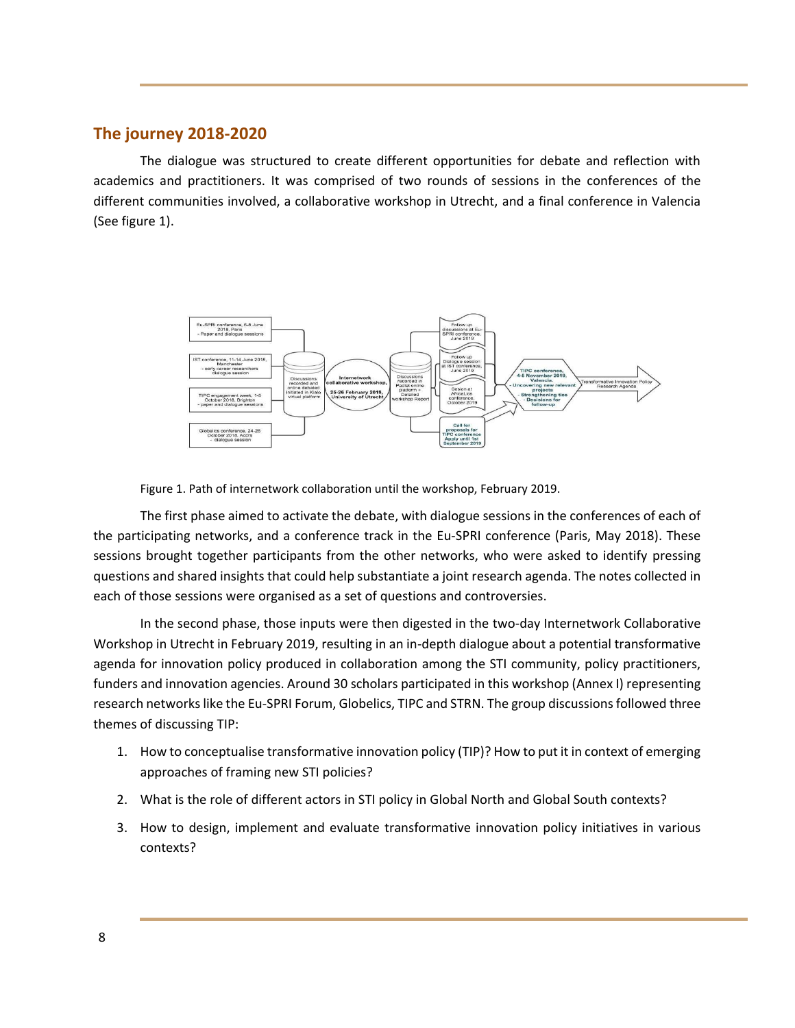## **The journey 2018-2020**

The dialogue was structured to create different opportunities for debate and reflection with academics and practitioners. It was comprised of two rounds of sessions in the conferences of the different communities involved, a collaborative workshop in Utrecht, and a final conference in Valencia (See figure 1).



Figure 1. Path of internetwork collaboration until the workshop, February 2019.

The first phase aimed to activate the debate, with dialogue sessions in the conferences of each of the participating networks, and a conference track in the Eu-SPRI conference (Paris, May 2018). These sessions brought together participants from the other networks, who were asked to identify pressing questions and shared insights that could help substantiate a joint research agenda. The notes collected in each of those sessions were organised as a set of questions and controversies.

In the second phase, those inputs were then digested in the two-day Internetwork Collaborative Workshop in Utrecht in February 2019, resulting in an in-depth dialogue about a potential transformative agenda for innovation policy produced in collaboration among the STI community, policy practitioners, funders and innovation agencies. Around 30 scholars participated in this workshop (Annex I) representing research networks like the Eu-SPRI Forum, Globelics, TIPC and STRN. The group discussions followed three themes of discussing TIP:

- 1. How to conceptualise transformative innovation policy (TIP)? How to put it in context of emerging approaches of framing new STI policies?
- 2. What is the role of different actors in STI policy in Global North and Global South contexts?
- 3. How to design, implement and evaluate transformative innovation policy initiatives in various contexts?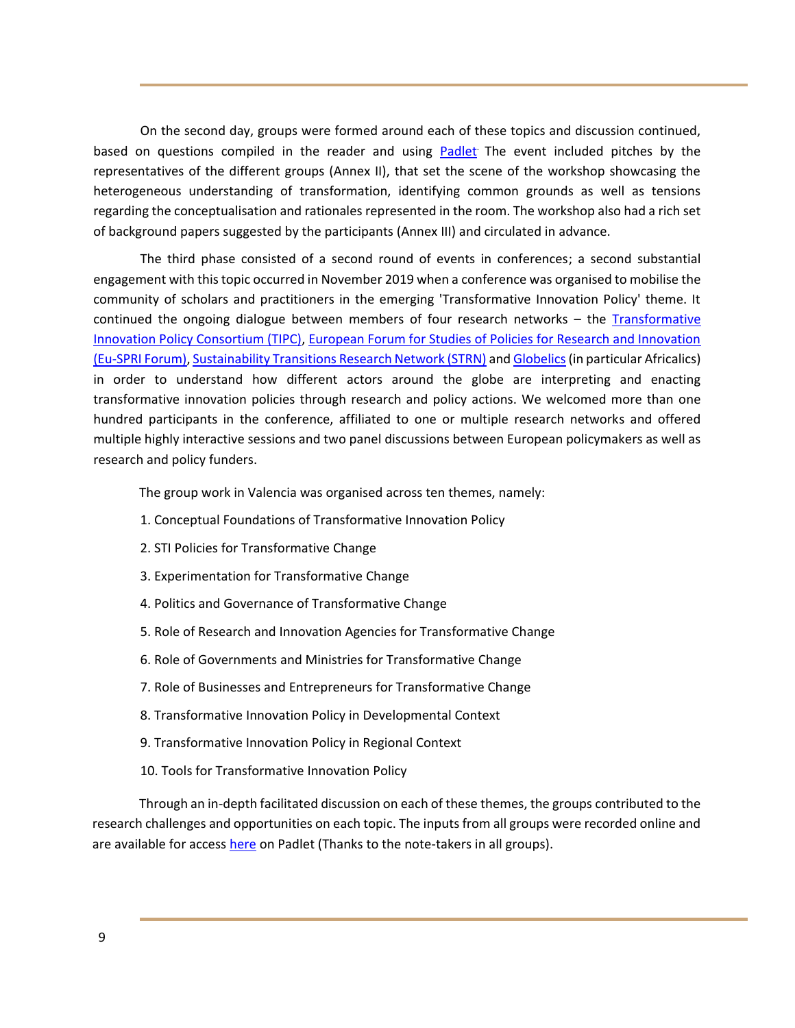On the second day, groups were formed around each of these topics and discussion continued, based on questions compiled in the reader and using [Padlet](https://padlet.com/tipconsortium/researchagenda)<sup>.</sup> The event included pitches by the representatives of the different groups (Annex II), that set the scene of the workshop showcasing the heterogeneous understanding of transformation, identifying common grounds as well as tensions regarding the conceptualisation and rationales represented in the room. The workshop also had a rich set of background papers suggested by the participants (Annex III) and circulated in advance.

The third phase consisted of a second round of events in conferences; a second substantial engagement with this topic occurred in November 2019 when a conference was organised to mobilise the community of scholars and practitioners in the emerging 'Transformative Innovation Policy' theme. It continued the ongoing dialogue between members of four research networks - the **Transformative** [Innovation Policy Consortium \(TIPC\),](http://www.tipconsortium.net/) [European Forum for Studies of Policies for Research and Innovation](https://www.euspri-forum.eu/) [\(Eu-SPRI](https://www.euspri-forum.eu/) Forum)[, Sustainability Transitions Research Network \(STRN\)](https://transitionsnetwork.org/) an[d Globelics\(](http://www.globelics.org/)in particular Africalics) in order to understand how different actors around the globe are interpreting and enacting transformative innovation policies through research and policy actions. We welcomed more than one hundred participants in the conference, affiliated to one or multiple research networks and offered multiple highly interactive sessions and two panel discussions between European policymakers as well as research and policy funders.

The group work in Valencia was organised across ten themes, namely:

- 1. Conceptual Foundations of Transformative Innovation Policy
- 2. STI Policies for Transformative Change
- 3. Experimentation for Transformative Change
- 4. Politics and Governance of Transformative Change
- 5. Role of Research and Innovation Agencies for Transformative Change
- 6. Role of Governments and Ministries for Transformative Change
- 7. Role of Businesses and Entrepreneurs for Transformative Change
- 8. Transformative Innovation Policy in Developmental Context
- 9. Transformative Innovation Policy in Regional Context
- 10. Tools for Transformative Innovation Policy

Through an in-depth facilitated discussion on each of these themes, the groups contributed to the research challenges and opportunities on each topic. The inputs from all groups were recorded online and are available for access [here](https://padlet.com/b_ghosh/df2gk644hpkp) on Padlet (Thanks to the note-takers in all groups).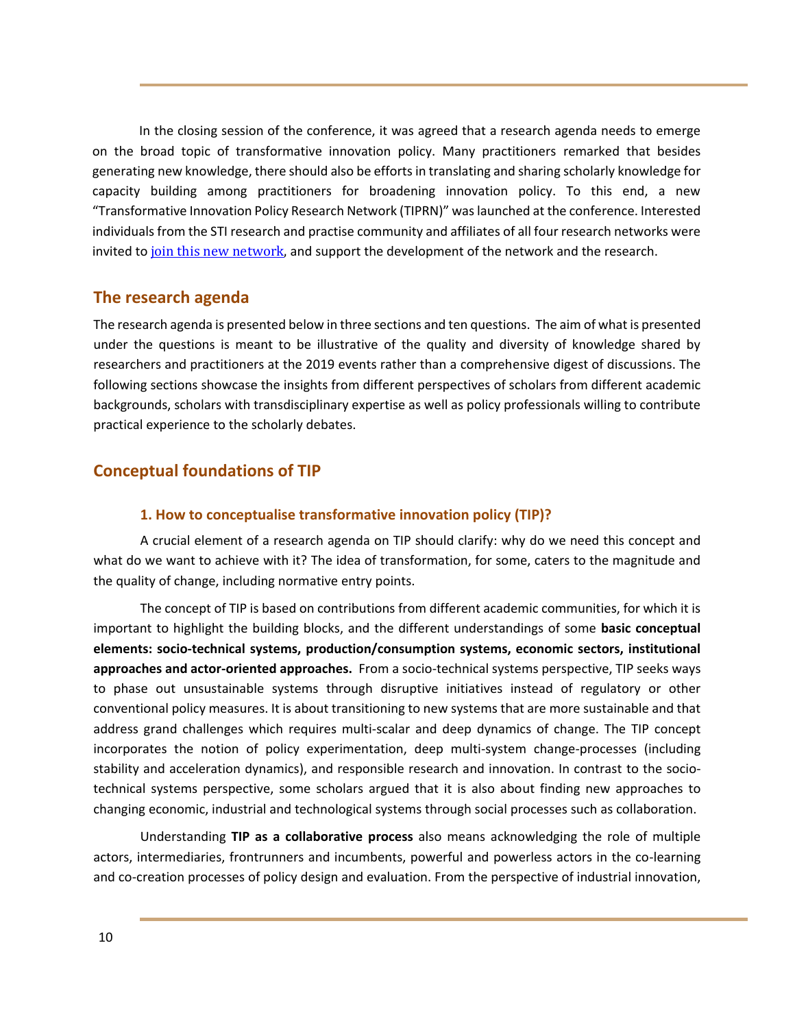In the closing session of the conference, it was agreed that a research agenda needs to emerge on the broad topic of transformative innovation policy. Many practitioners remarked that besides generating new knowledge, there should also be efforts in translating and sharing scholarly knowledge for capacity building among practitioners for broadening innovation policy. To this end, a new "Transformative Innovation Policy Research Network (TIPRN)" was launched at the conference. Interested individuals from the STI research and practise community and affiliates of all four research networks were invited to [join this new network,](http://www.tipconsortium.net/) and support the development of the network and the research.

## **The research agenda**

The research agenda is presented below in three sections and ten questions. The aim of what is presented under the questions is meant to be illustrative of the quality and diversity of knowledge shared by researchers and practitioners at the 2019 events rather than a comprehensive digest of discussions. The following sections showcase the insights from different perspectives of scholars from different academic backgrounds, scholars with transdisciplinary expertise as well as policy professionals willing to contribute practical experience to the scholarly debates.

## **Conceptual foundations of TIP**

#### **1. How to conceptualise transformative innovation policy (TIP)?**

A crucial element of a research agenda on TIP should clarify: why do we need this concept and what do we want to achieve with it? The idea of transformation, for some, caters to the magnitude and the quality of change, including normative entry points.

The concept of TIP is based on contributions from different academic communities, for which it is important to highlight the building blocks, and the different understandings of some **basic conceptual elements: socio-technical systems, production/consumption systems, economic sectors, institutional approaches and actor-oriented approaches.** From a socio-technical systems perspective, TIP seeks ways to phase out unsustainable systems through disruptive initiatives instead of regulatory or other conventional policy measures. It is about transitioning to new systems that are more sustainable and that address grand challenges which requires multi-scalar and deep dynamics of change. The TIP concept incorporates the notion of policy experimentation, deep multi-system change-processes (including stability and acceleration dynamics), and responsible research and innovation. In contrast to the sociotechnical systems perspective, some scholars argued that it is also about finding new approaches to changing economic, industrial and technological systems through social processes such as collaboration.

Understanding **TIP as a collaborative process** also means acknowledging the role of multiple actors, intermediaries, frontrunners and incumbents, powerful and powerless actors in the co-learning and co-creation processes of policy design and evaluation. From the perspective of industrial innovation,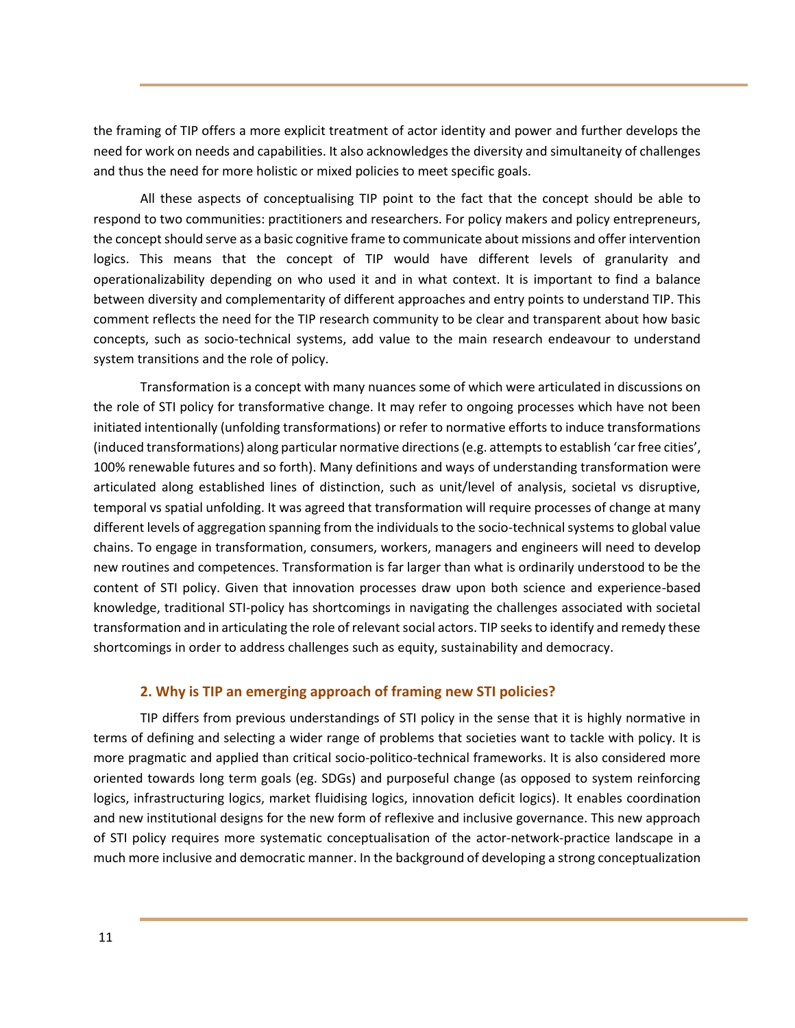the framing of TIP offers a more explicit treatment of actor identity and power and further develops the need for work on needs and capabilities. It also acknowledges the diversity and simultaneity of challenges and thus the need for more holistic or mixed policies to meet specific goals.

All these aspects of conceptualising TIP point to the fact that the concept should be able to respond to two communities: practitioners and researchers. For policy makers and policy entrepreneurs, the concept should serve as a basic cognitive frame to communicate about missions and offer intervention logics. This means that the concept of TIP would have different levels of granularity and operationalizability depending on who used it and in what context. It is important to find a balance between diversity and complementarity of different approaches and entry points to understand TIP. This comment reflects the need for the TIP research community to be clear and transparent about how basic concepts, such as socio-technical systems, add value to the main research endeavour to understand system transitions and the role of policy.

Transformation is a concept with many nuances some of which were articulated in discussions on the role of STI policy for transformative change. It may refer to ongoing processes which have not been initiated intentionally (unfolding transformations) or refer to normative efforts to induce transformations (induced transformations) along particular normative directions (e.g. attempts to establish 'car free cities', 100% renewable futures and so forth). Many definitions and ways of understanding transformation were articulated along established lines of distinction, such as unit/level of analysis, societal vs disruptive, temporal vs spatial unfolding. It was agreed that transformation will require processes of change at many different levels of aggregation spanning from the individuals to the socio-technical systems to global value chains. To engage in transformation, consumers, workers, managers and engineers will need to develop new routines and competences. Transformation is far larger than what is ordinarily understood to be the content of STI policy. Given that innovation processes draw upon both science and experience-based knowledge, traditional STI-policy has shortcomings in navigating the challenges associated with societal transformation and in articulating the role of relevant social actors. TIP seeks to identify and remedy these shortcomings in order to address challenges such as equity, sustainability and democracy.

#### **2. Why is TIP an emerging approach of framing new STI policies?**

TIP differs from previous understandings of STI policy in the sense that it is highly normative in terms of defining and selecting a wider range of problems that societies want to tackle with policy. It is more pragmatic and applied than critical socio-politico-technical frameworks. It is also considered more oriented towards long term goals (eg. SDGs) and purposeful change (as opposed to system reinforcing logics, infrastructuring logics, market fluidising logics, innovation deficit logics). It enables coordination and new institutional designs for the new form of reflexive and inclusive governance. This new approach of STI policy requires more systematic conceptualisation of the actor-network-practice landscape in a much more inclusive and democratic manner. In the background of developing a strong conceptualization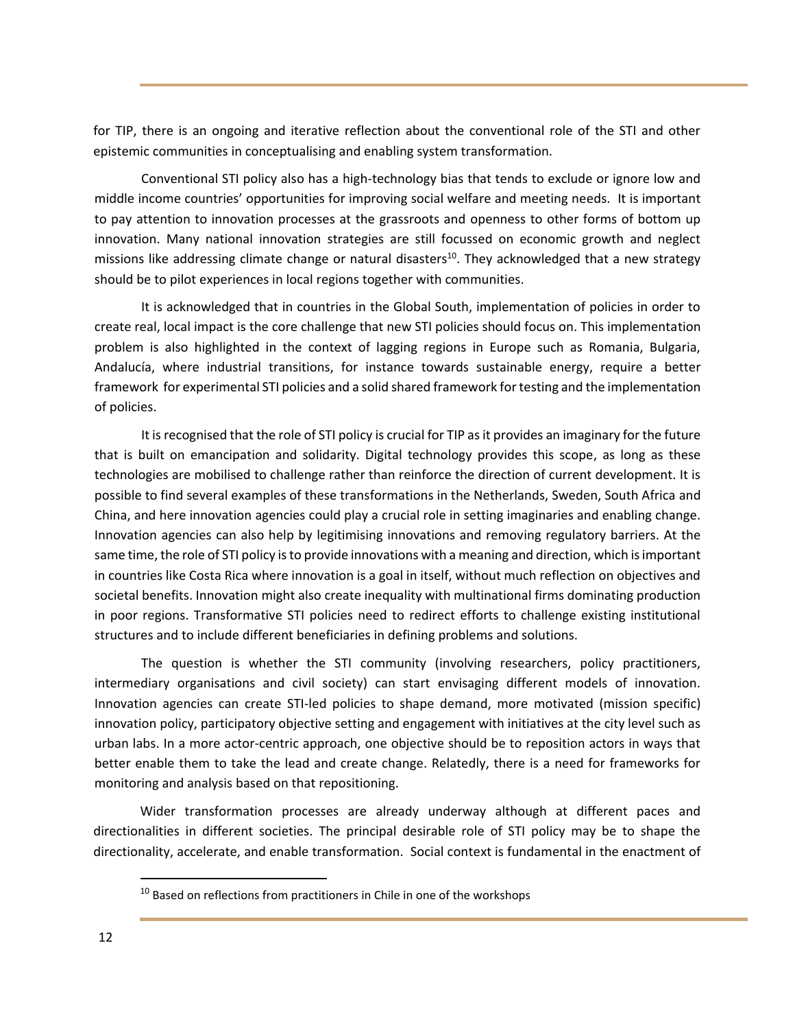for TIP, there is an ongoing and iterative reflection about the conventional role of the STI and other epistemic communities in conceptualising and enabling system transformation.

Conventional STI policy also has a high-technology bias that tends to exclude or ignore low and middle income countries' opportunities for improving social welfare and meeting needs. It is important to pay attention to innovation processes at the grassroots and openness to other forms of bottom up innovation. Many national innovation strategies are still focussed on economic growth and neglect missions like addressing climate change or natural disasters<sup>10</sup>. They acknowledged that a new strategy should be to pilot experiences in local regions together with communities.

It is acknowledged that in countries in the Global South, implementation of policies in order to create real, local impact is the core challenge that new STI policies should focus on. This implementation problem is also highlighted in the context of lagging regions in Europe such as Romania, Bulgaria, Andalucía, where industrial transitions, for instance towards sustainable energy, require a better framework for experimental STI policies and a solid shared framework for testing and the implementation of policies.

It is recognised that the role of STI policy is crucial for TIP as it provides an imaginary for the future that is built on emancipation and solidarity. Digital technology provides this scope, as long as these technologies are mobilised to challenge rather than reinforce the direction of current development. It is possible to find several examples of these transformations in the Netherlands, Sweden, South Africa and China, and here innovation agencies could play a crucial role in setting imaginaries and enabling change. Innovation agencies can also help by legitimising innovations and removing regulatory barriers. At the same time, the role of STI policy is to provide innovations with a meaning and direction, which is important in countries like Costa Rica where innovation is a goal in itself, without much reflection on objectives and societal benefits. Innovation might also create inequality with multinational firms dominating production in poor regions. Transformative STI policies need to redirect efforts to challenge existing institutional structures and to include different beneficiaries in defining problems and solutions.

The question is whether the STI community (involving researchers, policy practitioners, intermediary organisations and civil society) can start envisaging different models of innovation. Innovation agencies can create STI-led policies to shape demand, more motivated (mission specific) innovation policy, participatory objective setting and engagement with initiatives at the city level such as urban labs. In a more actor-centric approach, one objective should be to reposition actors in ways that better enable them to take the lead and create change. Relatedly, there is a need for frameworks for monitoring and analysis based on that repositioning.

Wider transformation processes are already underway although at different paces and directionalities in different societies. The principal desirable role of STI policy may be to shape the directionality, accelerate, and enable transformation. Social context is fundamental in the enactment of

 $10$  Based on reflections from practitioners in Chile in one of the workshops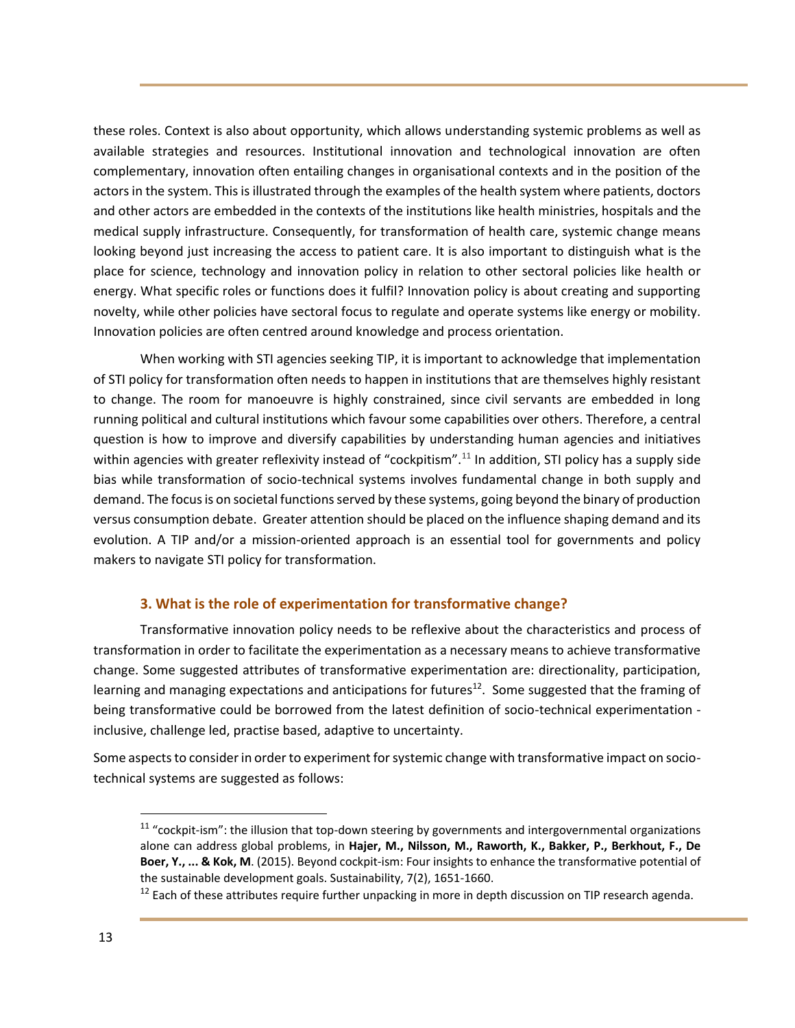these roles. Context is also about opportunity, which allows understanding systemic problems as well as available strategies and resources. Institutional innovation and technological innovation are often complementary, innovation often entailing changes in organisational contexts and in the position of the actors in the system. This is illustrated through the examples of the health system where patients, doctors and other actors are embedded in the contexts of the institutions like health ministries, hospitals and the medical supply infrastructure. Consequently, for transformation of health care, systemic change means looking beyond just increasing the access to patient care. It is also important to distinguish what is the place for science, technology and innovation policy in relation to other sectoral policies like health or energy. What specific roles or functions does it fulfil? Innovation policy is about creating and supporting novelty, while other policies have sectoral focus to regulate and operate systems like energy or mobility. Innovation policies are often centred around knowledge and process orientation.

When working with STI agencies seeking TIP, it is important to acknowledge that implementation of STI policy for transformation often needs to happen in institutions that are themselves highly resistant to change. The room for manoeuvre is highly constrained, since civil servants are embedded in long running political and cultural institutions which favour some capabilities over others. Therefore, a central question is how to improve and diversify capabilities by understanding human agencies and initiatives within agencies with greater reflexivity instead of "cockpitism".<sup>11</sup> In addition, STI policy has a supply side bias while transformation of socio-technical systems involves fundamental change in both supply and demand. The focus is on societal functions served by these systems, going beyond the binary of production versus consumption debate. Greater attention should be placed on the influence shaping demand and its evolution. A TIP and/or a mission-oriented approach is an essential tool for governments and policy makers to navigate STI policy for transformation.

## **3. What is the role of experimentation for transformative change?**

Transformative innovation policy needs to be reflexive about the characteristics and process of transformation in order to facilitate the experimentation as a necessary means to achieve transformative change. Some suggested attributes of transformative experimentation are: directionality, participation, learning and managing expectations and anticipations for futures<sup>12</sup>. Some suggested that the framing of being transformative could be borrowed from the latest definition of socio-technical experimentation inclusive, challenge led, practise based, adaptive to uncertainty.

Some aspects to consider in order to experiment for systemic change with transformative impact on sociotechnical systems are suggested as follows:

 $11$  "cockpit-ism": the illusion that top-down steering by governments and intergovernmental organizations alone can address global problems, in **Hajer, M., Nilsson, M., Raworth, K., Bakker, P., Berkhout, F., De Boer, Y., ... & Kok, M**. (2015). Beyond cockpit-ism: Four insights to enhance the transformative potential of the sustainable development goals. Sustainability, 7(2), 1651-1660.

 $12$  Each of these attributes require further unpacking in more in depth discussion on TIP research agenda.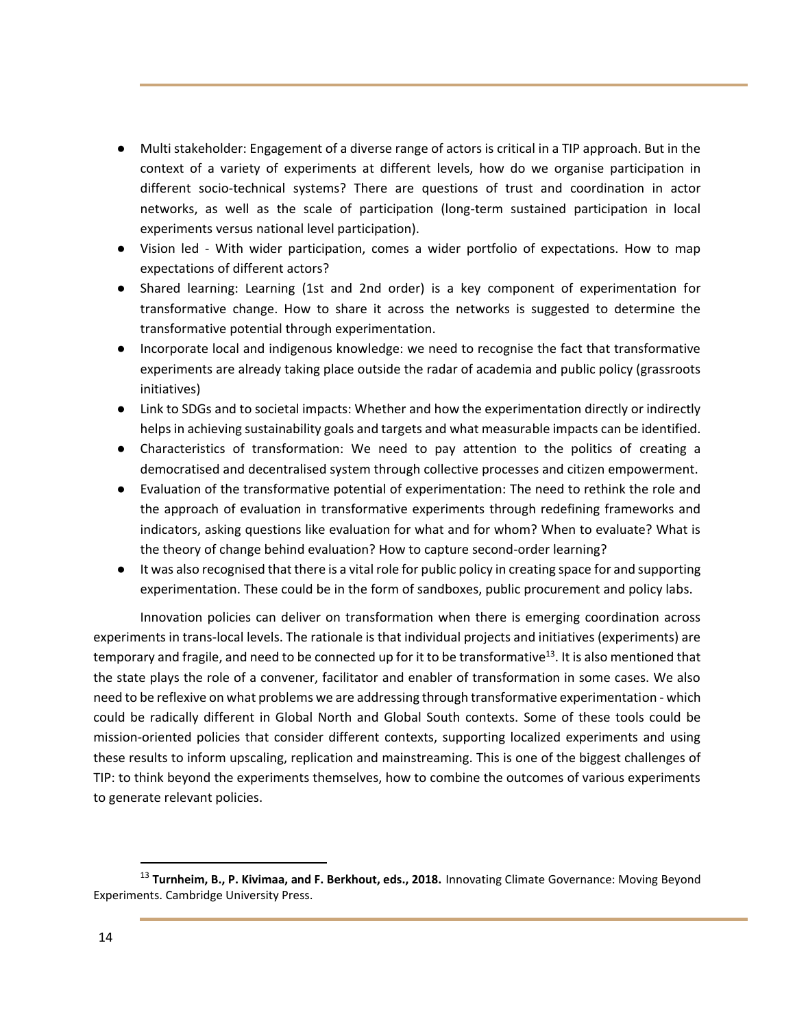- Multi stakeholder: Engagement of a diverse range of actors is critical in a TIP approach. But in the context of a variety of experiments at different levels, how do we organise participation in different socio-technical systems? There are questions of trust and coordination in actor networks, as well as the scale of participation (long-term sustained participation in local experiments versus national level participation).
- Vision led With wider participation, comes a wider portfolio of expectations. How to map expectations of different actors?
- Shared learning: Learning (1st and 2nd order) is a key component of experimentation for transformative change. How to share it across the networks is suggested to determine the transformative potential through experimentation.
- Incorporate local and indigenous knowledge: we need to recognise the fact that transformative experiments are already taking place outside the radar of academia and public policy (grassroots initiatives)
- Link to SDGs and to societal impacts: Whether and how the experimentation directly or indirectly helps in achieving sustainability goals and targets and what measurable impacts can be identified.
- Characteristics of transformation: We need to pay attention to the politics of creating a democratised and decentralised system through collective processes and citizen empowerment.
- Evaluation of the transformative potential of experimentation: The need to rethink the role and the approach of evaluation in transformative experiments through redefining frameworks and indicators, asking questions like evaluation for what and for whom? When to evaluate? What is the theory of change behind evaluation? How to capture second-order learning?
- It was also recognised that there is a vital role for public policy in creating space for and supporting experimentation. These could be in the form of sandboxes, public procurement and policy labs.

Innovation policies can deliver on transformation when there is emerging coordination across experiments in trans-local levels. The rationale is that individual projects and initiatives (experiments) are temporary and fragile, and need to be connected up for it to be transformative<sup>13</sup>. It is also mentioned that the state plays the role of a convener, facilitator and enabler of transformation in some cases. We also need to be reflexive on what problems we are addressing through transformative experimentation - which could be radically different in Global North and Global South contexts. Some of these tools could be mission-oriented policies that consider different contexts, supporting localized experiments and using these results to inform upscaling, replication and mainstreaming. This is one of the biggest challenges of TIP: to think beyond the experiments themselves, how to combine the outcomes of various experiments to generate relevant policies.

<sup>13</sup> **Turnheim, B., P. Kivimaa, and F. Berkhout, eds., 2018.** Innovating Climate Governance: Moving Beyond Experiments. Cambridge University Press.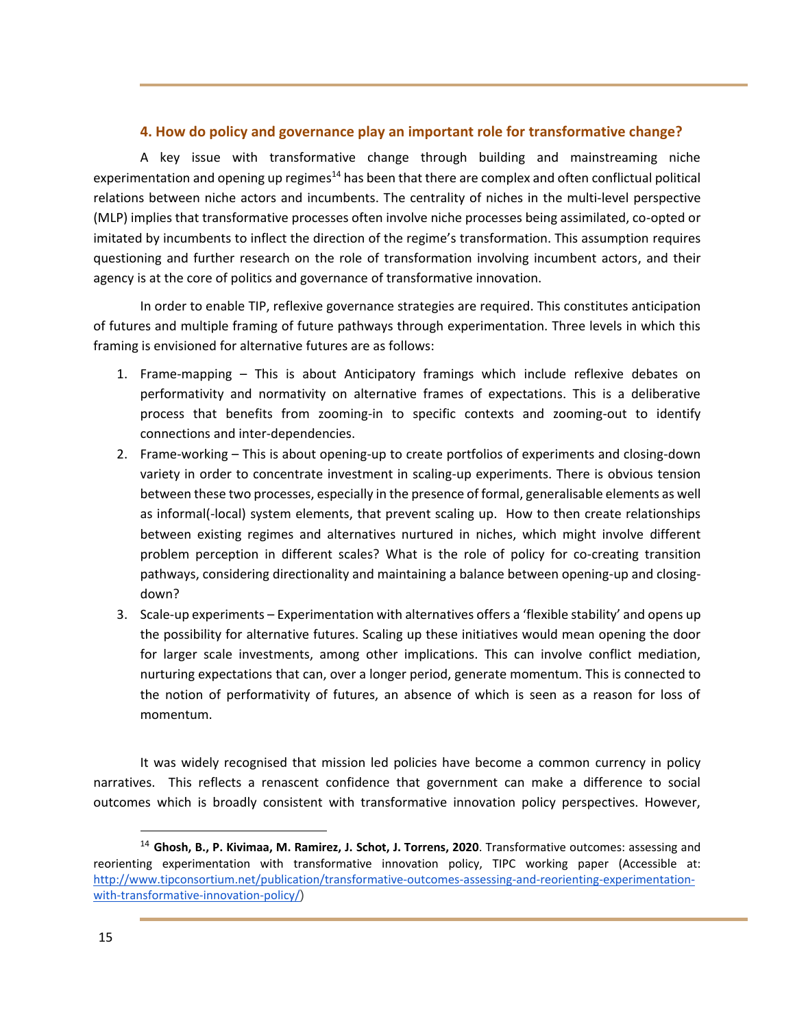## **4. How do policy and governance play an important role for transformative change?**

A key issue with transformative change through building and mainstreaming niche experimentation and opening up regimes<sup>14</sup> has been that there are complex and often conflictual political relations between niche actors and incumbents. The centrality of niches in the multi-level perspective (MLP) implies that transformative processes often involve niche processes being assimilated, co-opted or imitated by incumbents to inflect the direction of the regime's transformation. This assumption requires questioning and further research on the role of transformation involving incumbent actors, and their agency is at the core of politics and governance of transformative innovation.

In order to enable TIP, reflexive governance strategies are required. This constitutes anticipation of futures and multiple framing of future pathways through experimentation. Three levels in which this framing is envisioned for alternative futures are as follows:

- 1. Frame-mapping This is about Anticipatory framings which include reflexive debates on performativity and normativity on alternative frames of expectations. This is a deliberative process that benefits from zooming-in to specific contexts and zooming-out to identify connections and inter-dependencies.
- 2. Frame-working This is about opening-up to create portfolios of experiments and closing-down variety in order to concentrate investment in scaling-up experiments. There is obvious tension between these two processes, especially in the presence of formal, generalisable elements as well as informal(-local) system elements, that prevent scaling up. How to then create relationships between existing regimes and alternatives nurtured in niches, which might involve different problem perception in different scales? What is the role of policy for co-creating transition pathways, considering directionality and maintaining a balance between opening-up and closingdown?
- 3. Scale-up experiments Experimentation with alternatives offers a 'flexible stability' and opens up the possibility for alternative futures. Scaling up these initiatives would mean opening the door for larger scale investments, among other implications. This can involve conflict mediation, nurturing expectations that can, over a longer period, generate momentum. This is connected to the notion of performativity of futures, an absence of which is seen as a reason for loss of momentum.

It was widely recognised that mission led policies have become a common currency in policy narratives. This reflects a renascent confidence that government can make a difference to social outcomes which is broadly consistent with transformative innovation policy perspectives. However,

<sup>14</sup> **Ghosh, B., P. Kivimaa, M. Ramirez, J. Schot, J. Torrens, 2020**. Transformative outcomes: assessing and reorienting experimentation with transformative innovation policy, TIPC working paper (Accessible at: [http://www.tipconsortium.net/publication/transformative-outcomes-assessing-and-reorienting-experimentation](http://www.tipconsortium.net/publication/transformative-outcomes-assessing-and-reorienting-experimentation-with-transformative-innovation-policy/)[with-transformative-innovation-policy/](http://www.tipconsortium.net/publication/transformative-outcomes-assessing-and-reorienting-experimentation-with-transformative-innovation-policy/))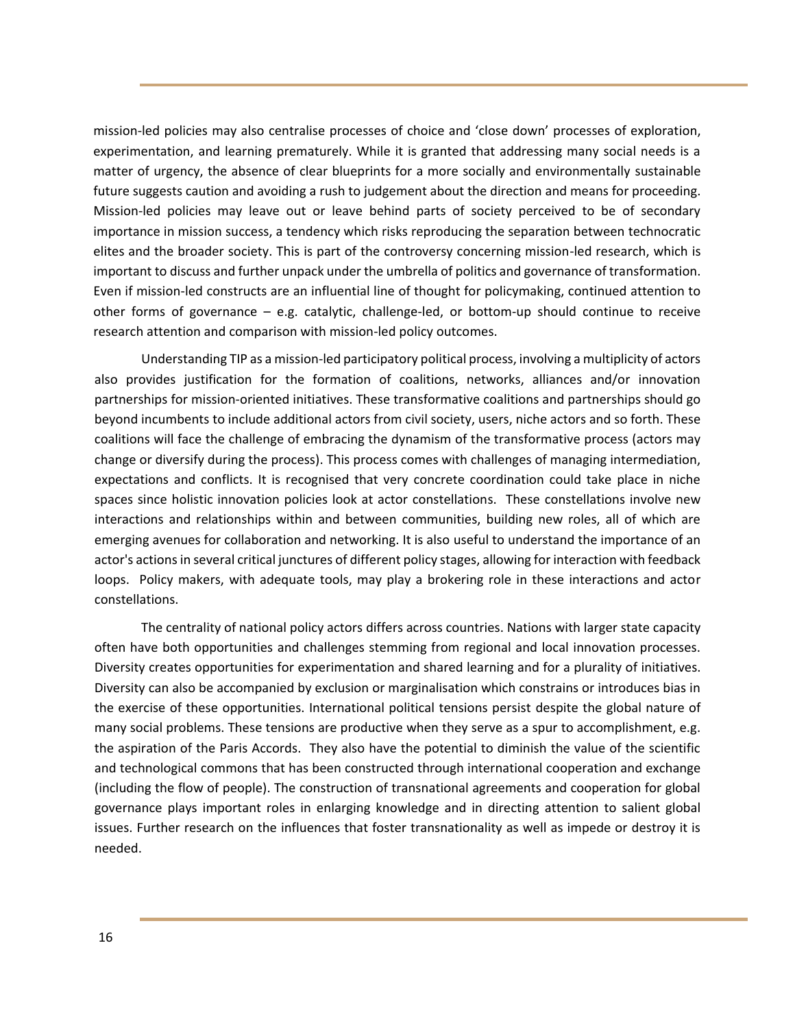mission-led policies may also centralise processes of choice and 'close down' processes of exploration, experimentation, and learning prematurely. While it is granted that addressing many social needs is a matter of urgency, the absence of clear blueprints for a more socially and environmentally sustainable future suggests caution and avoiding a rush to judgement about the direction and means for proceeding. Mission-led policies may leave out or leave behind parts of society perceived to be of secondary importance in mission success, a tendency which risks reproducing the separation between technocratic elites and the broader society. This is part of the controversy concerning mission-led research, which is important to discuss and further unpack under the umbrella of politics and governance of transformation. Even if mission-led constructs are an influential line of thought for policymaking, continued attention to other forms of governance – e.g. catalytic, challenge-led, or bottom-up should continue to receive research attention and comparison with mission-led policy outcomes.

Understanding TIP as a mission-led participatory political process, involving a multiplicity of actors also provides justification for the formation of coalitions, networks, alliances and/or innovation partnerships for mission-oriented initiatives. These transformative coalitions and partnerships should go beyond incumbents to include additional actors from civil society, users, niche actors and so forth. These coalitions will face the challenge of embracing the dynamism of the transformative process (actors may change or diversify during the process). This process comes with challenges of managing intermediation, expectations and conflicts. It is recognised that very concrete coordination could take place in niche spaces since holistic innovation policies look at actor constellations. These constellations involve new interactions and relationships within and between communities, building new roles, all of which are emerging avenues for collaboration and networking. It is also useful to understand the importance of an actor's actions in several critical junctures of different policy stages, allowing for interaction with feedback loops. Policy makers, with adequate tools, may play a brokering role in these interactions and actor constellations.

The centrality of national policy actors differs across countries. Nations with larger state capacity often have both opportunities and challenges stemming from regional and local innovation processes. Diversity creates opportunities for experimentation and shared learning and for a plurality of initiatives. Diversity can also be accompanied by exclusion or marginalisation which constrains or introduces bias in the exercise of these opportunities. International political tensions persist despite the global nature of many social problems. These tensions are productive when they serve as a spur to accomplishment, e.g. the aspiration of the Paris Accords. They also have the potential to diminish the value of the scientific and technological commons that has been constructed through international cooperation and exchange (including the flow of people). The construction of transnational agreements and cooperation for global governance plays important roles in enlarging knowledge and in directing attention to salient global issues. Further research on the influences that foster transnationality as well as impede or destroy it is needed.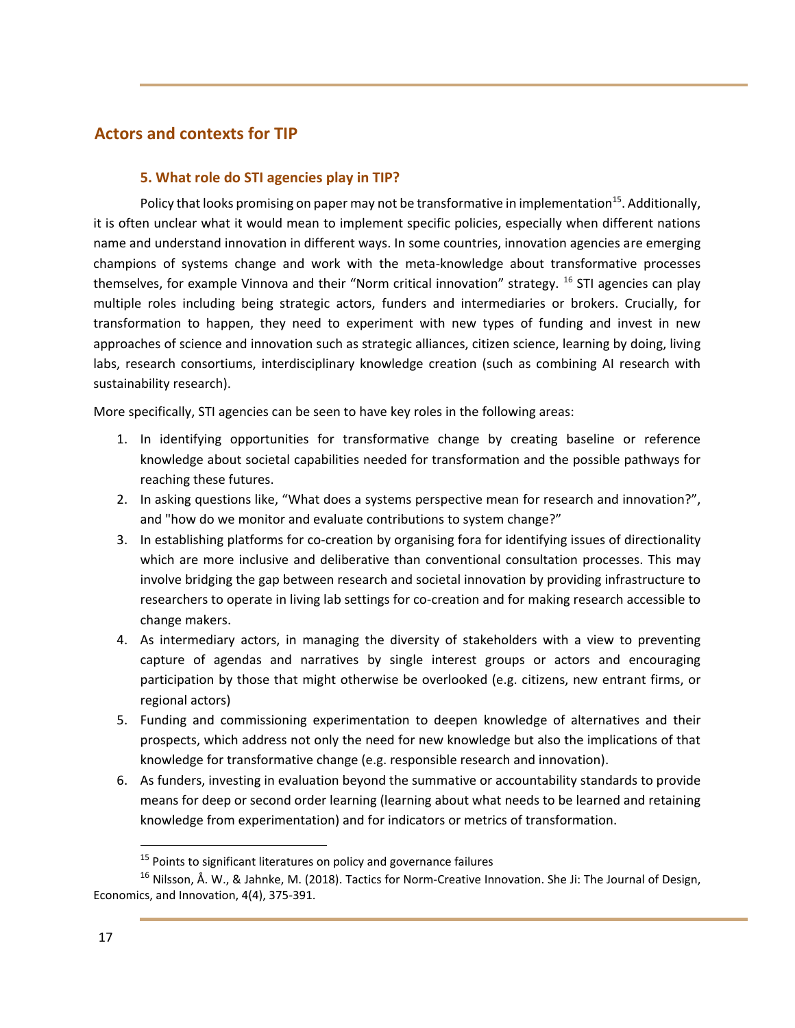## **Actors and contexts for TIP**

## **5. What role do STI agencies play in TIP?**

Policy that looks promising on paper may not be transformative in implementation<sup>15</sup>. Additionally, it is often unclear what it would mean to implement specific policies, especially when different nations name and understand innovation in different ways. In some countries, innovation agencies are emerging champions of systems change and work with the meta-knowledge about transformative processes themselves, for example Vinnova and their "Norm critical innovation" strategy. <sup>16</sup> STI agencies can play multiple roles including being strategic actors, funders and intermediaries or brokers. Crucially, for transformation to happen, they need to experiment with new types of funding and invest in new approaches of science and innovation such as strategic alliances, citizen science, learning by doing, living labs, research consortiums, interdisciplinary knowledge creation (such as combining AI research with sustainability research).

More specifically, STI agencies can be seen to have key roles in the following areas:

- 1. In identifying opportunities for transformative change by creating baseline or reference knowledge about societal capabilities needed for transformation and the possible pathways for reaching these futures.
- 2. In asking questions like, "What does a systems perspective mean for research and innovation?", and "how do we monitor and evaluate contributions to system change?"
- 3. In establishing platforms for co-creation by organising fora for identifying issues of directionality which are more inclusive and deliberative than conventional consultation processes. This may involve bridging the gap between research and societal innovation by providing infrastructure to researchers to operate in living lab settings for co-creation and for making research accessible to change makers.
- 4. As intermediary actors, in managing the diversity of stakeholders with a view to preventing capture of agendas and narratives by single interest groups or actors and encouraging participation by those that might otherwise be overlooked (e.g. citizens, new entrant firms, or regional actors)
- 5. Funding and commissioning experimentation to deepen knowledge of alternatives and their prospects, which address not only the need for new knowledge but also the implications of that knowledge for transformative change (e.g. responsible research and innovation).
- 6. As funders, investing in evaluation beyond the summative or accountability standards to provide means for deep or second order learning (learning about what needs to be learned and retaining knowledge from experimentation) and for indicators or metrics of transformation.

 $15$  Points to significant literatures on policy and governance failures

<sup>&</sup>lt;sup>16</sup> Nilsson, Å. W., & Jahnke, M. (2018). Tactics for Norm-Creative Innovation. She Ji: The Journal of Design, Economics, and Innovation, 4(4), 375-391.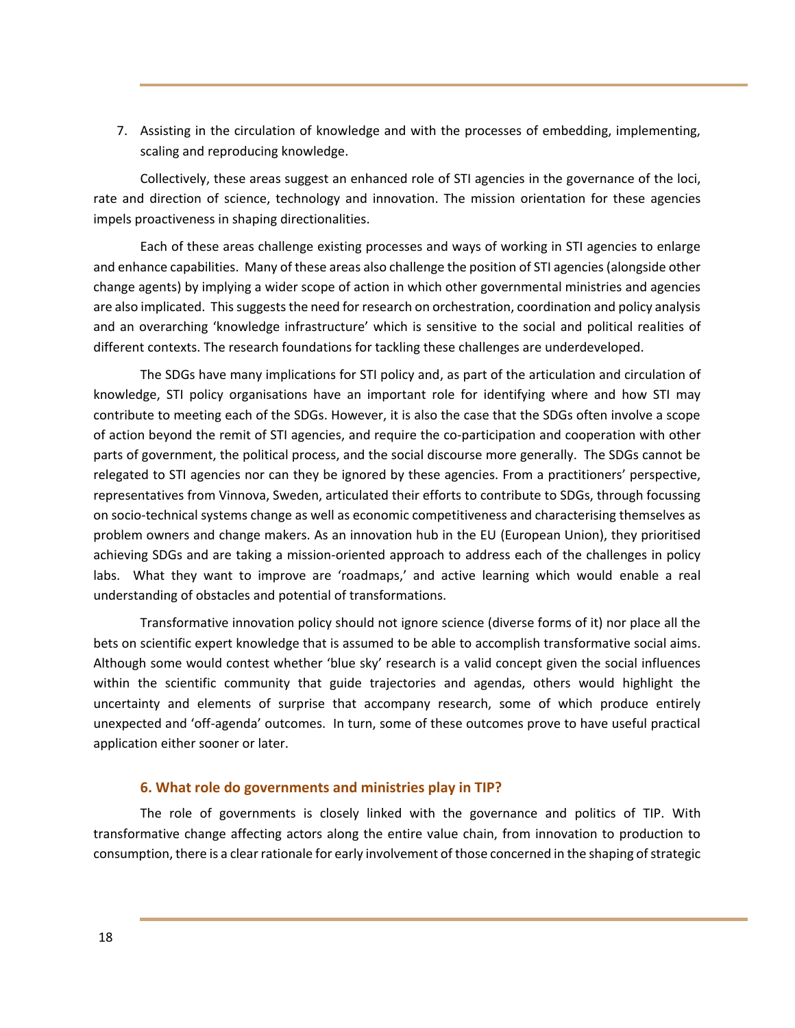7. Assisting in the circulation of knowledge and with the processes of embedding, implementing, scaling and reproducing knowledge.

Collectively, these areas suggest an enhanced role of STI agencies in the governance of the loci, rate and direction of science, technology and innovation. The mission orientation for these agencies impels proactiveness in shaping directionalities.

Each of these areas challenge existing processes and ways of working in STI agencies to enlarge and enhance capabilities. Many of these areas also challenge the position of STI agencies (alongside other change agents) by implying a wider scope of action in which other governmental ministries and agencies are also implicated. This suggests the need for research on orchestration, coordination and policy analysis and an overarching 'knowledge infrastructure' which is sensitive to the social and political realities of different contexts. The research foundations for tackling these challenges are underdeveloped.

The SDGs have many implications for STI policy and, as part of the articulation and circulation of knowledge, STI policy organisations have an important role for identifying where and how STI may contribute to meeting each of the SDGs. However, it is also the case that the SDGs often involve a scope of action beyond the remit of STI agencies, and require the co-participation and cooperation with other parts of government, the political process, and the social discourse more generally. The SDGs cannot be relegated to STI agencies nor can they be ignored by these agencies. From a practitioners' perspective, representatives from Vinnova, Sweden, articulated their efforts to contribute to SDGs, through focussing on socio-technical systems change as well as economic competitiveness and characterising themselves as problem owners and change makers. As an innovation hub in the EU (European Union), they prioritised achieving SDGs and are taking a mission-oriented approach to address each of the challenges in policy labs. What they want to improve are 'roadmaps,' and active learning which would enable a real understanding of obstacles and potential of transformations.

Transformative innovation policy should not ignore science (diverse forms of it) nor place all the bets on scientific expert knowledge that is assumed to be able to accomplish transformative social aims. Although some would contest whether 'blue sky' research is a valid concept given the social influences within the scientific community that guide trajectories and agendas, others would highlight the uncertainty and elements of surprise that accompany research, some of which produce entirely unexpected and 'off-agenda' outcomes. In turn, some of these outcomes prove to have useful practical application either sooner or later.

#### **6. What role do governments and ministries play in TIP?**

The role of governments is closely linked with the governance and politics of TIP. With transformative change affecting actors along the entire value chain, from innovation to production to consumption, there is a clear rationale for early involvement of those concerned in the shaping of strategic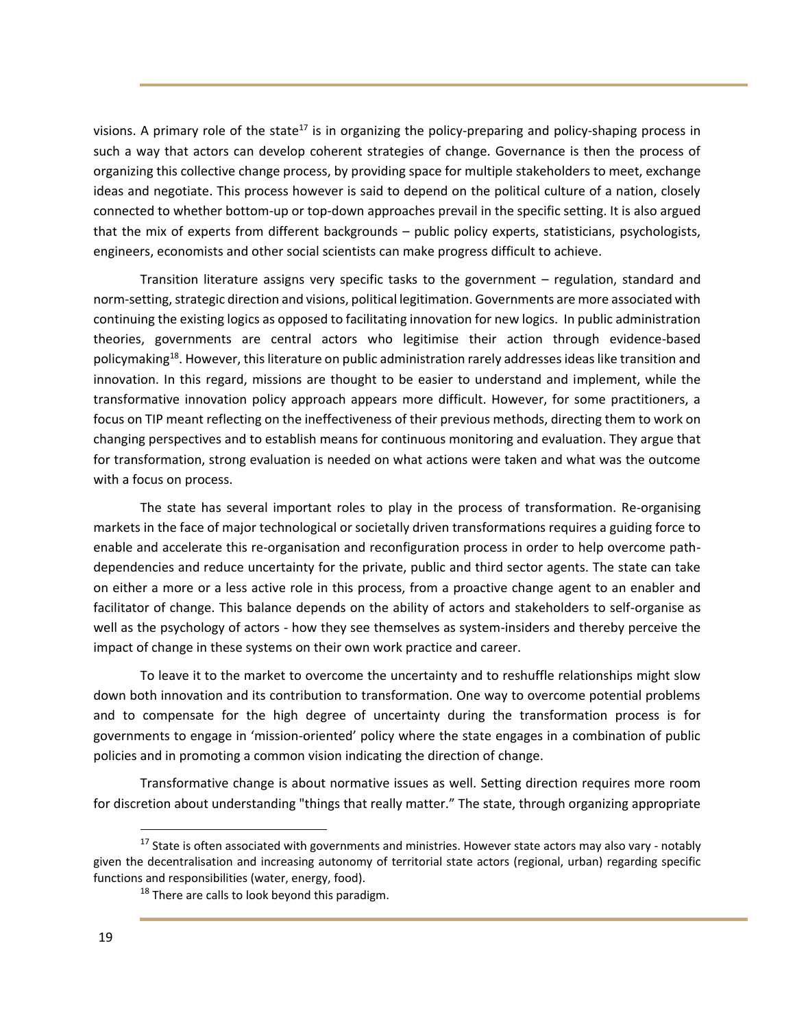visions. A primary role of the state<sup>17</sup> is in organizing the policy-preparing and policy-shaping process in such a way that actors can develop coherent strategies of change. Governance is then the process of organizing this collective change process, by providing space for multiple stakeholders to meet, exchange ideas and negotiate. This process however is said to depend on the political culture of a nation, closely connected to whether bottom-up or top-down approaches prevail in the specific setting. It is also argued that the mix of experts from different backgrounds – public policy experts, statisticians, psychologists, engineers, economists and other social scientists can make progress difficult to achieve.

Transition literature assigns very specific tasks to the government – regulation, standard and norm-setting, strategic direction and visions, political legitimation. Governments are more associated with continuing the existing logics as opposed to facilitating innovation for new logics. In public administration theories, governments are central actors who legitimise their action through evidence-based policymaking<sup>18</sup>. However, this literature on public administration rarely addresses ideas like transition and innovation. In this regard, missions are thought to be easier to understand and implement, while the transformative innovation policy approach appears more difficult. However, for some practitioners, a focus on TIP meant reflecting on the ineffectiveness of their previous methods, directing them to work on changing perspectives and to establish means for continuous monitoring and evaluation. They argue that for transformation, strong evaluation is needed on what actions were taken and what was the outcome with a focus on process.

The state has several important roles to play in the process of transformation. Re-organising markets in the face of major technological or societally driven transformations requires a guiding force to enable and accelerate this re-organisation and reconfiguration process in order to help overcome pathdependencies and reduce uncertainty for the private, public and third sector agents. The state can take on either a more or a less active role in this process, from a proactive change agent to an enabler and facilitator of change. This balance depends on the ability of actors and stakeholders to self-organise as well as the psychology of actors - how they see themselves as system-insiders and thereby perceive the impact of change in these systems on their own work practice and career.

To leave it to the market to overcome the uncertainty and to reshuffle relationships might slow down both innovation and its contribution to transformation. One way to overcome potential problems and to compensate for the high degree of uncertainty during the transformation process is for governments to engage in 'mission-oriented' policy where the state engages in a combination of public policies and in promoting a common vision indicating the direction of change.

Transformative change is about normative issues as well. Setting direction requires more room for discretion about understanding "things that really matter." The state, through organizing appropriate

<sup>&</sup>lt;sup>17</sup> State is often associated with governments and ministries. However state actors may also vary - notably given the decentralisation and increasing autonomy of territorial state actors (regional, urban) regarding specific functions and responsibilities (water, energy, food).

<sup>&</sup>lt;sup>18</sup> There are calls to look beyond this paradigm.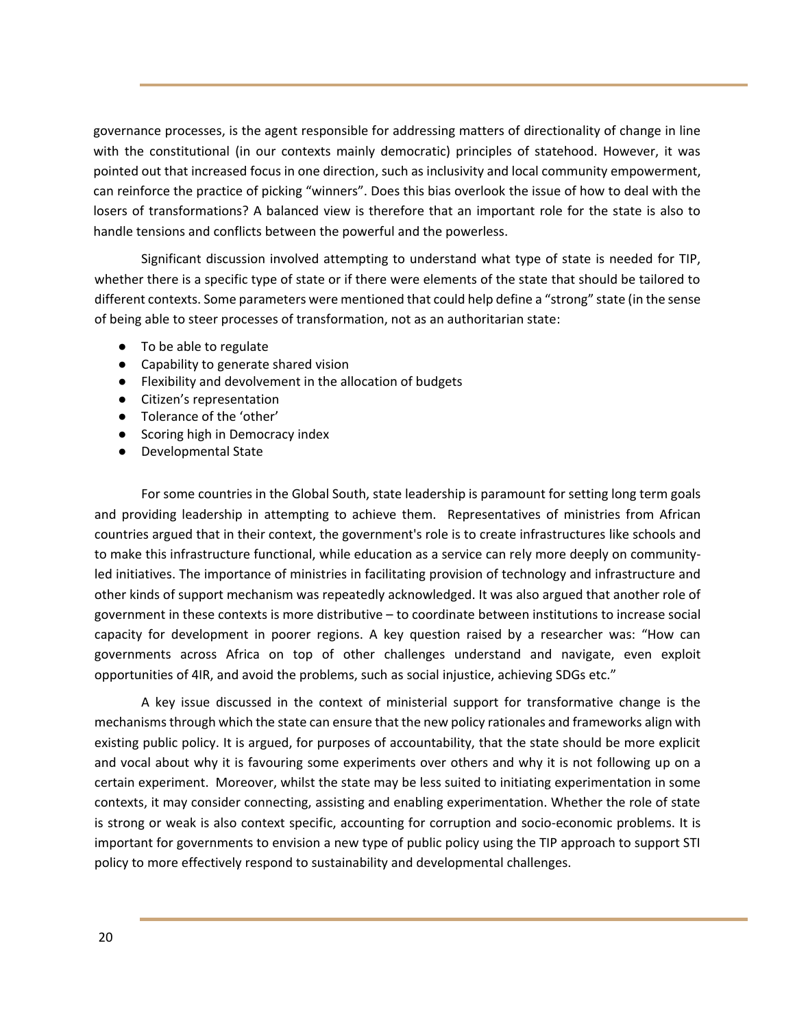governance processes, is the agent responsible for addressing matters of directionality of change in line with the constitutional (in our contexts mainly democratic) principles of statehood. However, it was pointed out that increased focus in one direction, such as inclusivity and local community empowerment, can reinforce the practice of picking "winners". Does this bias overlook the issue of how to deal with the losers of transformations? A balanced view is therefore that an important role for the state is also to handle tensions and conflicts between the powerful and the powerless.

Significant discussion involved attempting to understand what type of state is needed for TIP, whether there is a specific type of state or if there were elements of the state that should be tailored to different contexts. Some parameters were mentioned that could help define a "strong" state (in the sense of being able to steer processes of transformation, not as an authoritarian state:

- To be able to regulate
- Capability to generate shared vision
- Flexibility and devolvement in the allocation of budgets
- Citizen's representation
- Tolerance of the 'other'
- Scoring high in Democracy index
- Developmental State

For some countries in the Global South, state leadership is paramount for setting long term goals and providing leadership in attempting to achieve them. Representatives of ministries from African countries argued that in their context, the government's role is to create infrastructures like schools and to make this infrastructure functional, while education as a service can rely more deeply on communityled initiatives. The importance of ministries in facilitating provision of technology and infrastructure and other kinds of support mechanism was repeatedly acknowledged. It was also argued that another role of government in these contexts is more distributive – to coordinate between institutions to increase social capacity for development in poorer regions. A key question raised by a researcher was: "How can governments across Africa on top of other challenges understand and navigate, even exploit opportunities of 4IR, and avoid the problems, such as social injustice, achieving SDGs etc."

A key issue discussed in the context of ministerial support for transformative change is the mechanisms through which the state can ensure that the new policy rationales and frameworks align with existing public policy. It is argued, for purposes of accountability, that the state should be more explicit and vocal about why it is favouring some experiments over others and why it is not following up on a certain experiment. Moreover, whilst the state may be less suited to initiating experimentation in some contexts, it may consider connecting, assisting and enabling experimentation. Whether the role of state is strong or weak is also context specific, accounting for corruption and socio-economic problems. It is important for governments to envision a new type of public policy using the TIP approach to support STI policy to more effectively respond to sustainability and developmental challenges.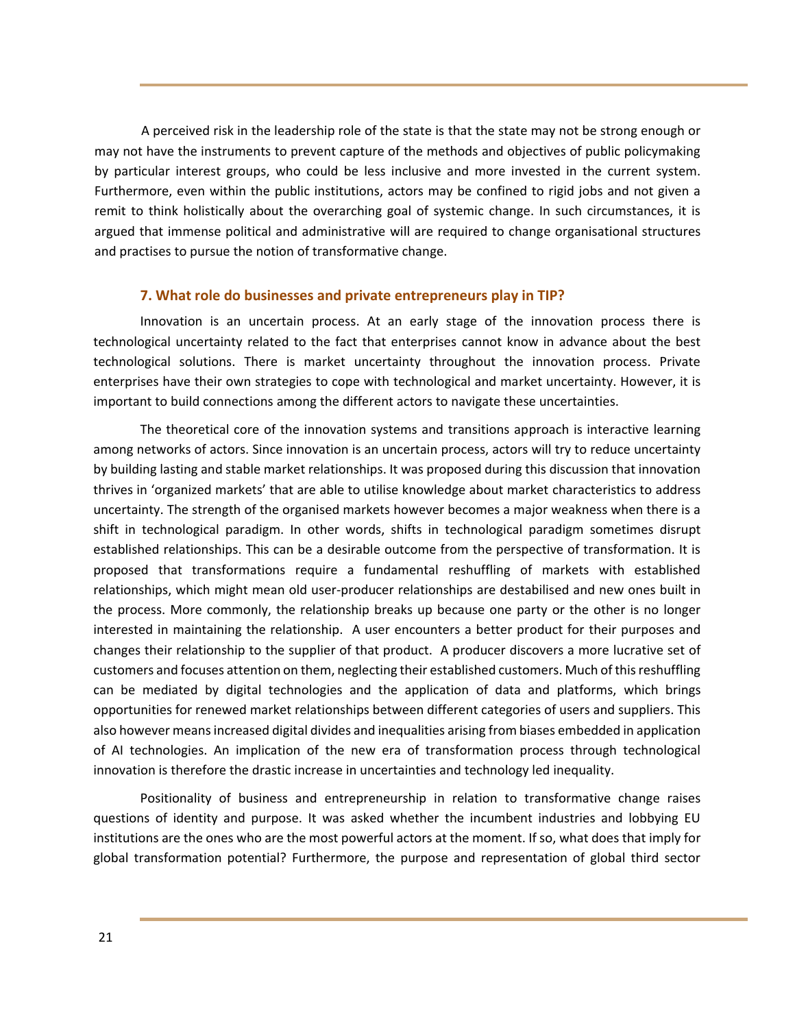A perceived risk in the leadership role of the state is that the state may not be strong enough or may not have the instruments to prevent capture of the methods and objectives of public policymaking by particular interest groups, who could be less inclusive and more invested in the current system. Furthermore, even within the public institutions, actors may be confined to rigid jobs and not given a remit to think holistically about the overarching goal of systemic change. In such circumstances, it is argued that immense political and administrative will are required to change organisational structures and practises to pursue the notion of transformative change.

#### **7. What role do businesses and private entrepreneurs play in TIP?**

Innovation is an uncertain process. At an early stage of the innovation process there is technological uncertainty related to the fact that enterprises cannot know in advance about the best technological solutions. There is market uncertainty throughout the innovation process. Private enterprises have their own strategies to cope with technological and market uncertainty. However, it is important to build connections among the different actors to navigate these uncertainties.

The theoretical core of the innovation systems and transitions approach is interactive learning among networks of actors. Since innovation is an uncertain process, actors will try to reduce uncertainty by building lasting and stable market relationships. It was proposed during this discussion that innovation thrives in 'organized markets' that are able to utilise knowledge about market characteristics to address uncertainty. The strength of the organised markets however becomes a major weakness when there is a shift in technological paradigm. In other words, shifts in technological paradigm sometimes disrupt established relationships. This can be a desirable outcome from the perspective of transformation. It is proposed that transformations require a fundamental reshuffling of markets with established relationships, which might mean old user-producer relationships are destabilised and new ones built in the process. More commonly, the relationship breaks up because one party or the other is no longer interested in maintaining the relationship. A user encounters a better product for their purposes and changes their relationship to the supplier of that product. A producer discovers a more lucrative set of customers and focuses attention on them, neglecting their established customers. Much of this reshuffling can be mediated by digital technologies and the application of data and platforms, which brings opportunities for renewed market relationships between different categories of users and suppliers. This also however means increased digital divides and inequalities arising from biases embedded in application of AI technologies. An implication of the new era of transformation process through technological innovation is therefore the drastic increase in uncertainties and technology led inequality.

Positionality of business and entrepreneurship in relation to transformative change raises questions of identity and purpose. It was asked whether the incumbent industries and lobbying EU institutions are the ones who are the most powerful actors at the moment. If so, what does that imply for global transformation potential? Furthermore, the purpose and representation of global third sector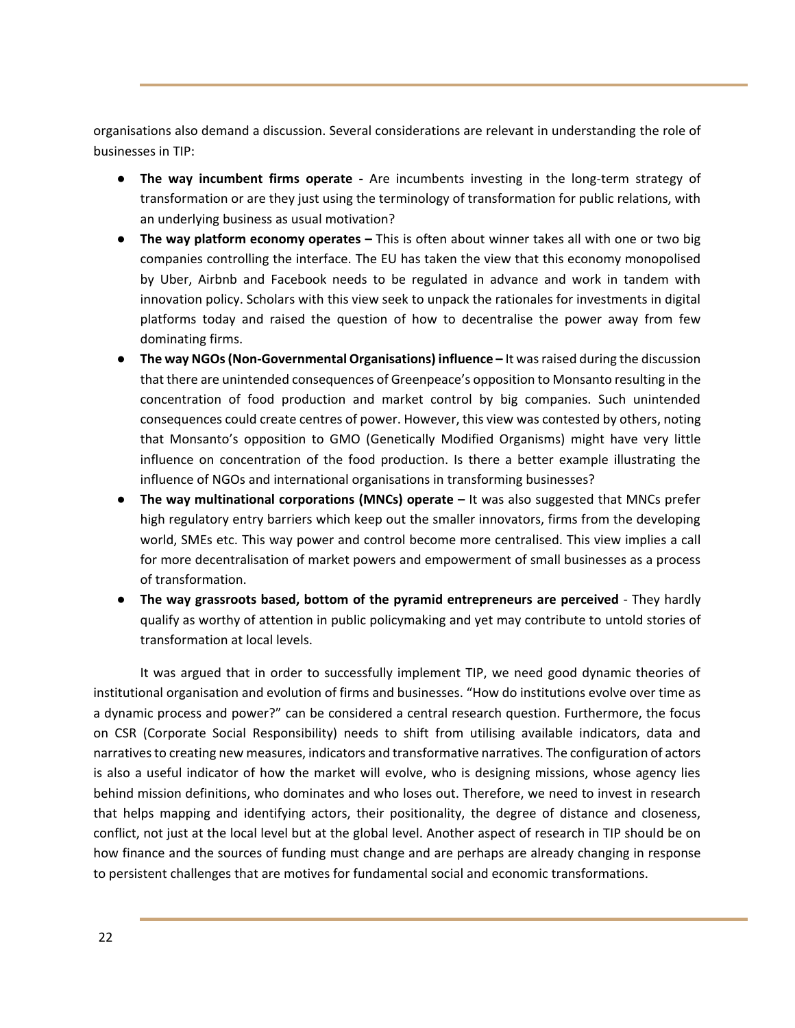organisations also demand a discussion. Several considerations are relevant in understanding the role of businesses in TIP:

- **The way incumbent firms operate -** Are incumbents investing in the long-term strategy of transformation or are they just using the terminology of transformation for public relations, with an underlying business as usual motivation?
- **The way platform economy operates –** This is often about winner takes all with one or two big companies controlling the interface. The EU has taken the view that this economy monopolised by Uber, Airbnb and Facebook needs to be regulated in advance and work in tandem with innovation policy. Scholars with this view seek to unpack the rationales for investments in digital platforms today and raised the question of how to decentralise the power away from few dominating firms.
- **The way NGOs(Non-Governmental Organisations) influence –** It was raised during the discussion that there are unintended consequences of Greenpeace's opposition to Monsanto resulting in the concentration of food production and market control by big companies. Such unintended consequences could create centres of power. However, this view was contested by others, noting that Monsanto's opposition to GMO (Genetically Modified Organisms) might have very little influence on concentration of the food production. Is there a better example illustrating the influence of NGOs and international organisations in transforming businesses?
- **The way multinational corporations (MNCs) operate –** It was also suggested that MNCs prefer high regulatory entry barriers which keep out the smaller innovators, firms from the developing world, SMEs etc. This way power and control become more centralised. This view implies a call for more decentralisation of market powers and empowerment of small businesses as a process of transformation.
- **The way grassroots based, bottom of the pyramid entrepreneurs are perceived**  They hardly qualify as worthy of attention in public policymaking and yet may contribute to untold stories of transformation at local levels.

It was argued that in order to successfully implement TIP, we need good dynamic theories of institutional organisation and evolution of firms and businesses. "How do institutions evolve over time as a dynamic process and power?" can be considered a central research question. Furthermore, the focus on CSR (Corporate Social Responsibility) needs to shift from utilising available indicators, data and narratives to creating new measures, indicators and transformative narratives. The configuration of actors is also a useful indicator of how the market will evolve, who is designing missions, whose agency lies behind mission definitions, who dominates and who loses out. Therefore, we need to invest in research that helps mapping and identifying actors, their positionality, the degree of distance and closeness, conflict, not just at the local level but at the global level. Another aspect of research in TIP should be on how finance and the sources of funding must change and are perhaps are already changing in response to persistent challenges that are motives for fundamental social and economic transformations.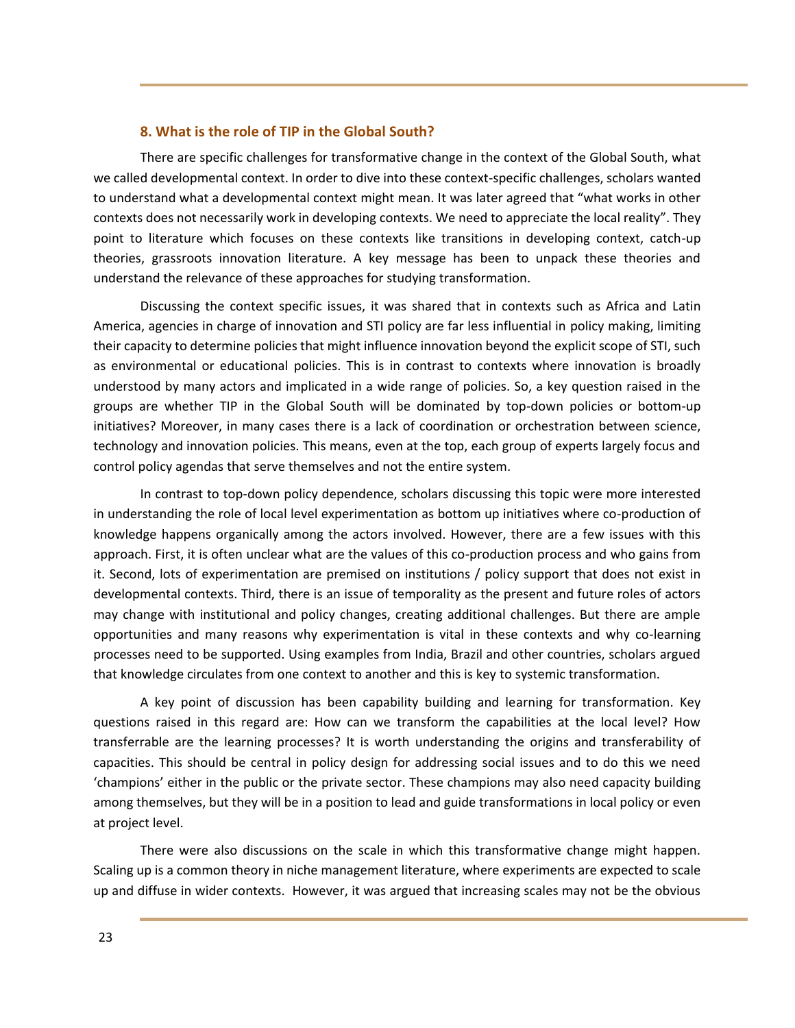## **8. What is the role of TIP in the Global South?**

There are specific challenges for transformative change in the context of the Global South, what we called developmental context. In order to dive into these context-specific challenges, scholars wanted to understand what a developmental context might mean. It was later agreed that "what works in other contexts does not necessarily work in developing contexts. We need to appreciate the local reality". They point to literature which focuses on these contexts like transitions in developing context, catch-up theories, grassroots innovation literature. A key message has been to unpack these theories and understand the relevance of these approaches for studying transformation.

Discussing the context specific issues, it was shared that in contexts such as Africa and Latin America, agencies in charge of innovation and STI policy are far less influential in policy making, limiting their capacity to determine policies that might influence innovation beyond the explicit scope of STI, such as environmental or educational policies. This is in contrast to contexts where innovation is broadly understood by many actors and implicated in a wide range of policies. So, a key question raised in the groups are whether TIP in the Global South will be dominated by top-down policies or bottom-up initiatives? Moreover, in many cases there is a lack of coordination or orchestration between science, technology and innovation policies. This means, even at the top, each group of experts largely focus and control policy agendas that serve themselves and not the entire system.

In contrast to top-down policy dependence, scholars discussing this topic were more interested in understanding the role of local level experimentation as bottom up initiatives where co-production of knowledge happens organically among the actors involved. However, there are a few issues with this approach. First, it is often unclear what are the values of this co-production process and who gains from it. Second, lots of experimentation are premised on institutions / policy support that does not exist in developmental contexts. Third, there is an issue of temporality as the present and future roles of actors may change with institutional and policy changes, creating additional challenges. But there are ample opportunities and many reasons why experimentation is vital in these contexts and why co-learning processes need to be supported. Using examples from India, Brazil and other countries, scholars argued that knowledge circulates from one context to another and this is key to systemic transformation.

A key point of discussion has been capability building and learning for transformation. Key questions raised in this regard are: How can we transform the capabilities at the local level? How transferrable are the learning processes? It is worth understanding the origins and transferability of capacities. This should be central in policy design for addressing social issues and to do this we need 'champions' either in the public or the private sector. These champions may also need capacity building among themselves, but they will be in a position to lead and guide transformations in local policy or even at project level.

There were also discussions on the scale in which this transformative change might happen. Scaling up is a common theory in niche management literature, where experiments are expected to scale up and diffuse in wider contexts. However, it was argued that increasing scales may not be the obvious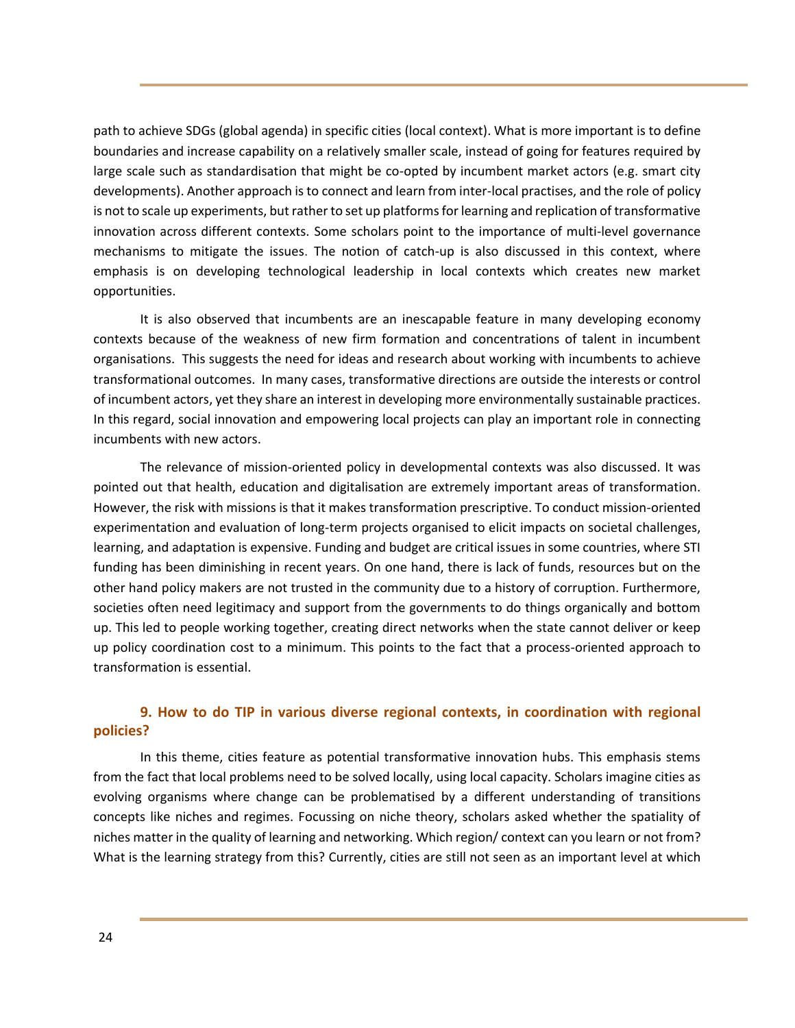path to achieve SDGs (global agenda) in specific cities (local context). What is more important is to define boundaries and increase capability on a relatively smaller scale, instead of going for features required by large scale such as standardisation that might be co-opted by incumbent market actors (e.g. smart city developments). Another approach is to connect and learn from inter-local practises, and the role of policy is not to scale up experiments, but rather to set up platforms for learning and replication of transformative innovation across different contexts. Some scholars point to the importance of multi-level governance mechanisms to mitigate the issues. The notion of catch-up is also discussed in this context, where emphasis is on developing technological leadership in local contexts which creates new market opportunities.

It is also observed that incumbents are an inescapable feature in many developing economy contexts because of the weakness of new firm formation and concentrations of talent in incumbent organisations. This suggests the need for ideas and research about working with incumbents to achieve transformational outcomes. In many cases, transformative directions are outside the interests or control of incumbent actors, yet they share an interest in developing more environmentally sustainable practices. In this regard, social innovation and empowering local projects can play an important role in connecting incumbents with new actors.

The relevance of mission-oriented policy in developmental contexts was also discussed. It was pointed out that health, education and digitalisation are extremely important areas of transformation. However, the risk with missions is that it makes transformation prescriptive. To conduct mission-oriented experimentation and evaluation of long-term projects organised to elicit impacts on societal challenges, learning, and adaptation is expensive. Funding and budget are critical issues in some countries, where STI funding has been diminishing in recent years. On one hand, there is lack of funds, resources but on the other hand policy makers are not trusted in the community due to a history of corruption. Furthermore, societies often need legitimacy and support from the governments to do things organically and bottom up. This led to people working together, creating direct networks when the state cannot deliver or keep up policy coordination cost to a minimum. This points to the fact that a process-oriented approach to transformation is essential.

## **9. How to do TIP in various diverse regional contexts, in coordination with regional policies?**

In this theme, cities feature as potential transformative innovation hubs. This emphasis stems from the fact that local problems need to be solved locally, using local capacity. Scholars imagine cities as evolving organisms where change can be problematised by a different understanding of transitions concepts like niches and regimes. Focussing on niche theory, scholars asked whether the spatiality of niches matter in the quality of learning and networking. Which region/ context can you learn or not from? What is the learning strategy from this? Currently, cities are still not seen as an important level at which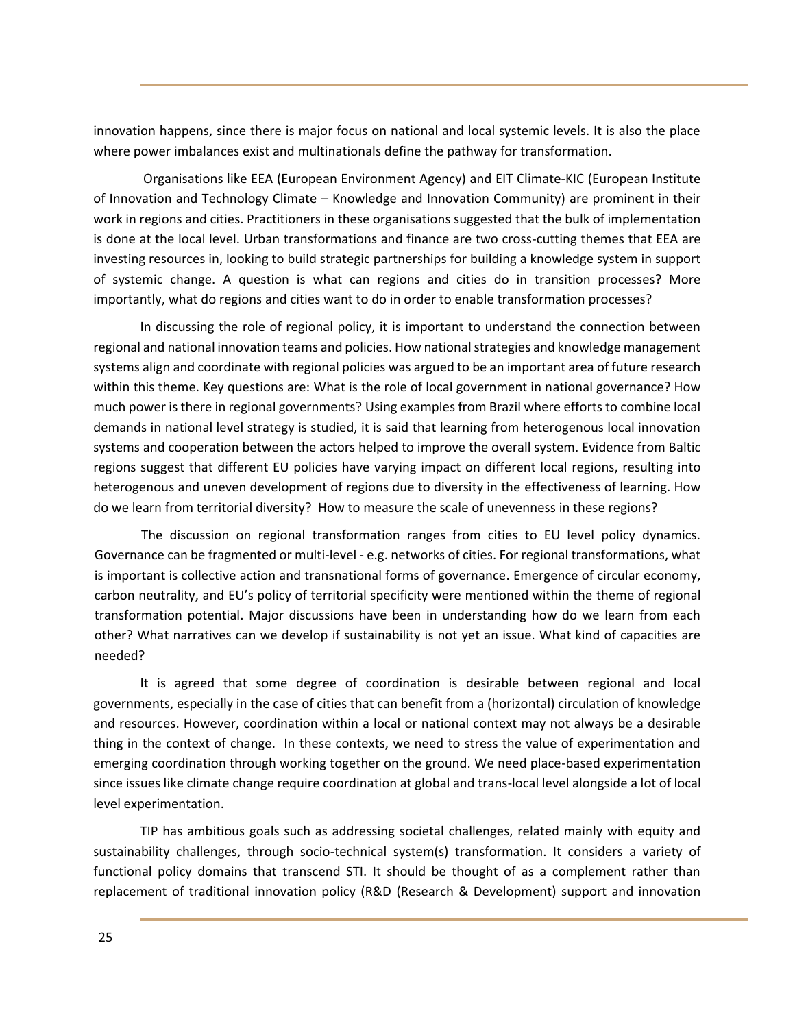innovation happens, since there is major focus on national and local systemic levels. It is also the place where power imbalances exist and multinationals define the pathway for transformation.

Organisations like EEA (European Environment Agency) and EIT Climate-KIC (European Institute of Innovation and Technology Climate – Knowledge and Innovation Community) are prominent in their work in regions and cities. Practitioners in these organisations suggested that the bulk of implementation is done at the local level. Urban transformations and finance are two cross-cutting themes that EEA are investing resources in, looking to build strategic partnerships for building a knowledge system in support of systemic change. A question is what can regions and cities do in transition processes? More importantly, what do regions and cities want to do in order to enable transformation processes?

In discussing the role of regional policy, it is important to understand the connection between regional and national innovation teams and policies. How national strategies and knowledge management systems align and coordinate with regional policies was argued to be an important area of future research within this theme. Key questions are: What is the role of local government in national governance? How much power is there in regional governments? Using examples from Brazil where efforts to combine local demands in national level strategy is studied, it is said that learning from heterogenous local innovation systems and cooperation between the actors helped to improve the overall system. Evidence from Baltic regions suggest that different EU policies have varying impact on different local regions, resulting into heterogenous and uneven development of regions due to diversity in the effectiveness of learning. How do we learn from territorial diversity? How to measure the scale of unevenness in these regions?

The discussion on regional transformation ranges from cities to EU level policy dynamics. Governance can be fragmented or multi-level - e.g. networks of cities. For regional transformations, what is important is collective action and transnational forms of governance. Emergence of circular economy, carbon neutrality, and EU's policy of territorial specificity were mentioned within the theme of regional transformation potential. Major discussions have been in understanding how do we learn from each other? What narratives can we develop if sustainability is not yet an issue. What kind of capacities are needed?

It is agreed that some degree of coordination is desirable between regional and local governments, especially in the case of cities that can benefit from a (horizontal) circulation of knowledge and resources. However, coordination within a local or national context may not always be a desirable thing in the context of change. In these contexts, we need to stress the value of experimentation and emerging coordination through working together on the ground. We need place-based experimentation since issues like climate change require coordination at global and trans-local level alongside a lot of local level experimentation.

TIP has ambitious goals such as addressing societal challenges, related mainly with equity and sustainability challenges, through socio-technical system(s) transformation. It considers a variety of functional policy domains that transcend STI. It should be thought of as a complement rather than replacement of traditional innovation policy (R&D (Research & Development) support and innovation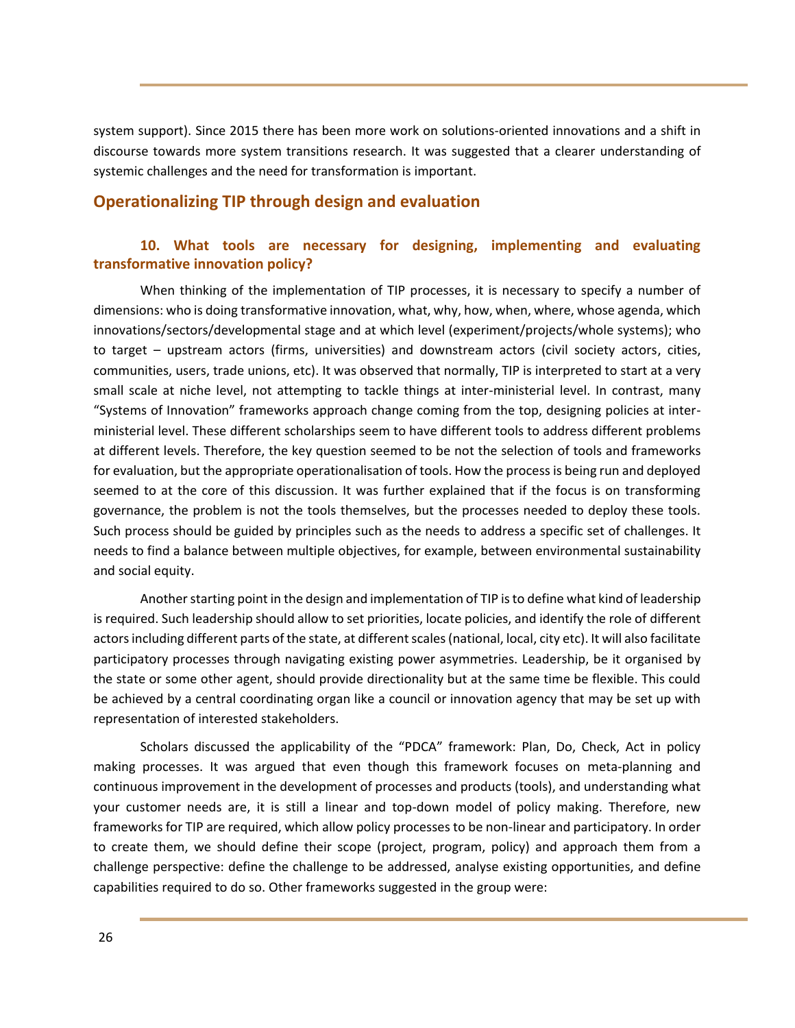system support). Since 2015 there has been more work on solutions-oriented innovations and a shift in discourse towards more system transitions research. It was suggested that a clearer understanding of systemic challenges and the need for transformation is important.

## **Operationalizing TIP through design and evaluation**

## **10. What tools are necessary for designing, implementing and evaluating transformative innovation policy?**

When thinking of the implementation of TIP processes, it is necessary to specify a number of dimensions: who is doing transformative innovation, what, why, how, when, where, whose agenda, which innovations/sectors/developmental stage and at which level (experiment/projects/whole systems); who to target – upstream actors (firms, universities) and downstream actors (civil society actors, cities, communities, users, trade unions, etc). It was observed that normally, TIP is interpreted to start at a very small scale at niche level, not attempting to tackle things at inter-ministerial level. In contrast, many "Systems of Innovation" frameworks approach change coming from the top, designing policies at interministerial level. These different scholarships seem to have different tools to address different problems at different levels. Therefore, the key question seemed to be not the selection of tools and frameworks for evaluation, but the appropriate operationalisation of tools. How the process is being run and deployed seemed to at the core of this discussion. It was further explained that if the focus is on transforming governance, the problem is not the tools themselves, but the processes needed to deploy these tools. Such process should be guided by principles such as the needs to address a specific set of challenges. It needs to find a balance between multiple objectives, for example, between environmental sustainability and social equity.

Another starting point in the design and implementation of TIP is to define what kind of leadership is required. Such leadership should allow to set priorities, locate policies, and identify the role of different actors including different parts of the state, at different scales (national, local, city etc). It will also facilitate participatory processes through navigating existing power asymmetries. Leadership, be it organised by the state or some other agent, should provide directionality but at the same time be flexible. This could be achieved by a central coordinating organ like a council or innovation agency that may be set up with representation of interested stakeholders.

Scholars discussed the applicability of the "PDCA" framework: Plan, Do, Check, Act in policy making processes. It was argued that even though this framework focuses on meta-planning and continuous improvement in the development of processes and products (tools), and understanding what your customer needs are, it is still a linear and top-down model of policy making. Therefore, new frameworks for TIP are required, which allow policy processes to be non-linear and participatory. In order to create them, we should define their scope (project, program, policy) and approach them from a challenge perspective: define the challenge to be addressed, analyse existing opportunities, and define capabilities required to do so. Other frameworks suggested in the group were: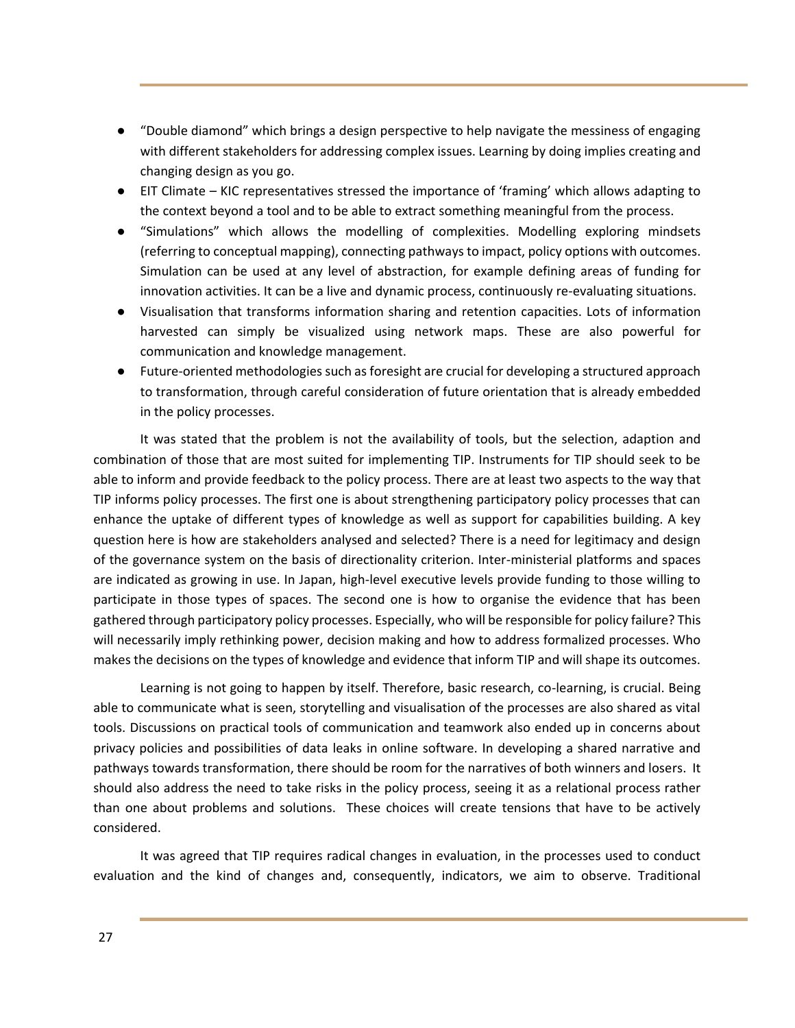- "Double diamond" which brings a design perspective to help navigate the messiness of engaging with different stakeholders for addressing complex issues. Learning by doing implies creating and changing design as you go.
- EIT Climate KIC representatives stressed the importance of 'framing' which allows adapting to the context beyond a tool and to be able to extract something meaningful from the process.
- "Simulations" which allows the modelling of complexities. Modelling exploring mindsets (referring to conceptual mapping), connecting pathways to impact, policy options with outcomes. Simulation can be used at any level of abstraction, for example defining areas of funding for innovation activities. It can be a live and dynamic process, continuously re-evaluating situations.
- Visualisation that transforms information sharing and retention capacities. Lots of information harvested can simply be visualized using network maps. These are also powerful for communication and knowledge management.
- Future-oriented methodologies such as foresight are crucial for developing a structured approach to transformation, through careful consideration of future orientation that is already embedded in the policy processes.

It was stated that the problem is not the availability of tools, but the selection, adaption and combination of those that are most suited for implementing TIP. Instruments for TIP should seek to be able to inform and provide feedback to the policy process. There are at least two aspects to the way that TIP informs policy processes. The first one is about strengthening participatory policy processes that can enhance the uptake of different types of knowledge as well as support for capabilities building. A key question here is how are stakeholders analysed and selected? There is a need for legitimacy and design of the governance system on the basis of directionality criterion. Inter-ministerial platforms and spaces are indicated as growing in use. In Japan, high-level executive levels provide funding to those willing to participate in those types of spaces. The second one is how to organise the evidence that has been gathered through participatory policy processes. Especially, who will be responsible for policy failure? This will necessarily imply rethinking power, decision making and how to address formalized processes. Who makes the decisions on the types of knowledge and evidence that inform TIP and will shape its outcomes.

Learning is not going to happen by itself. Therefore, basic research, co-learning, is crucial. Being able to communicate what is seen, storytelling and visualisation of the processes are also shared as vital tools. Discussions on practical tools of communication and teamwork also ended up in concerns about privacy policies and possibilities of data leaks in online software. In developing a shared narrative and pathways towards transformation, there should be room for the narratives of both winners and losers. It should also address the need to take risks in the policy process, seeing it as a relational process rather than one about problems and solutions. These choices will create tensions that have to be actively considered.

It was agreed that TIP requires radical changes in evaluation, in the processes used to conduct evaluation and the kind of changes and, consequently, indicators, we aim to observe. Traditional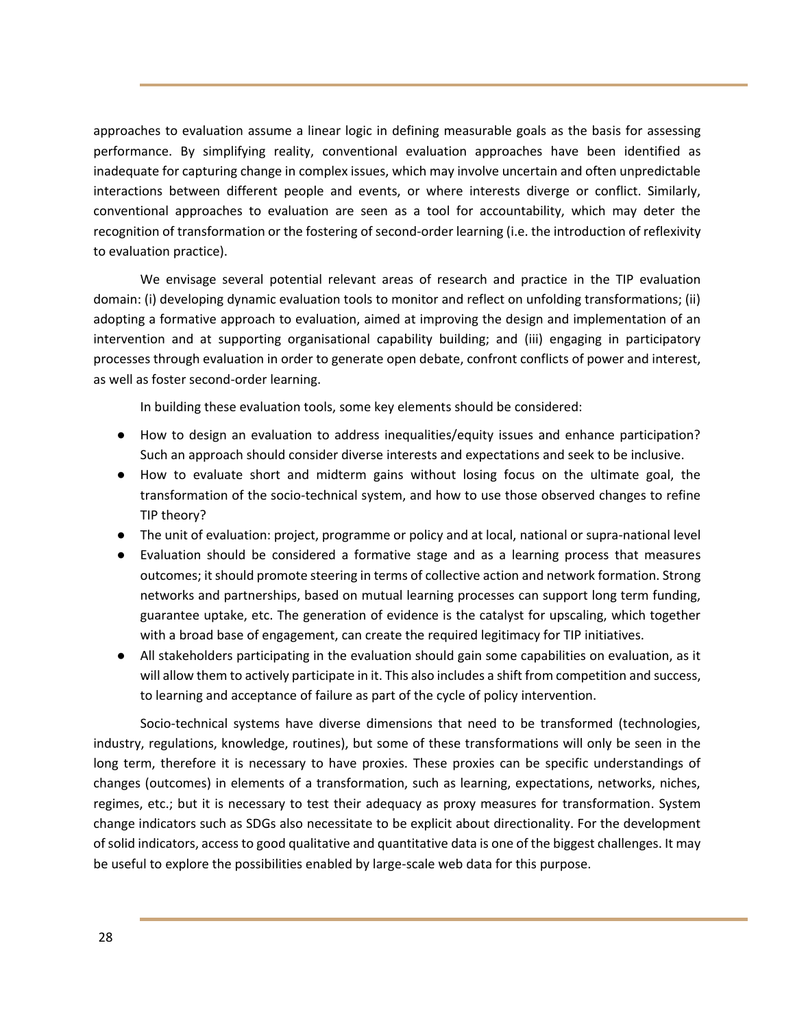approaches to evaluation assume a linear logic in defining measurable goals as the basis for assessing performance. By simplifying reality, conventional evaluation approaches have been identified as inadequate for capturing change in complex issues, which may involve uncertain and often unpredictable interactions between different people and events, or where interests diverge or conflict. Similarly, conventional approaches to evaluation are seen as a tool for accountability, which may deter the recognition of transformation or the fostering of second-order learning (i.e. the introduction of reflexivity to evaluation practice).

We envisage several potential relevant areas of research and practice in the TIP evaluation domain: (i) developing dynamic evaluation tools to monitor and reflect on unfolding transformations; (ii) adopting a formative approach to evaluation, aimed at improving the design and implementation of an intervention and at supporting organisational capability building; and (iii) engaging in participatory processes through evaluation in order to generate open debate, confront conflicts of power and interest, as well as foster second-order learning.

In building these evaluation tools, some key elements should be considered:

- How to design an evaluation to address inequalities/equity issues and enhance participation? Such an approach should consider diverse interests and expectations and seek to be inclusive.
- How to evaluate short and midterm gains without losing focus on the ultimate goal, the transformation of the socio-technical system, and how to use those observed changes to refine TIP theory?
- The unit of evaluation: project, programme or policy and at local, national or supra-national level
- Evaluation should be considered a formative stage and as a learning process that measures outcomes; it should promote steering in terms of collective action and network formation. Strong networks and partnerships, based on mutual learning processes can support long term funding, guarantee uptake, etc. The generation of evidence is the catalyst for upscaling, which together with a broad base of engagement, can create the required legitimacy for TIP initiatives.
- All stakeholders participating in the evaluation should gain some capabilities on evaluation, as it will allow them to actively participate in it. This also includes a shift from competition and success, to learning and acceptance of failure as part of the cycle of policy intervention.

Socio-technical systems have diverse dimensions that need to be transformed (technologies, industry, regulations, knowledge, routines), but some of these transformations will only be seen in the long term, therefore it is necessary to have proxies. These proxies can be specific understandings of changes (outcomes) in elements of a transformation, such as learning, expectations, networks, niches, regimes, etc.; but it is necessary to test their adequacy as proxy measures for transformation. System change indicators such as SDGs also necessitate to be explicit about directionality. For the development of solid indicators, access to good qualitative and quantitative data is one of the biggest challenges. It may be useful to explore the possibilities enabled by large-scale web data for this purpose.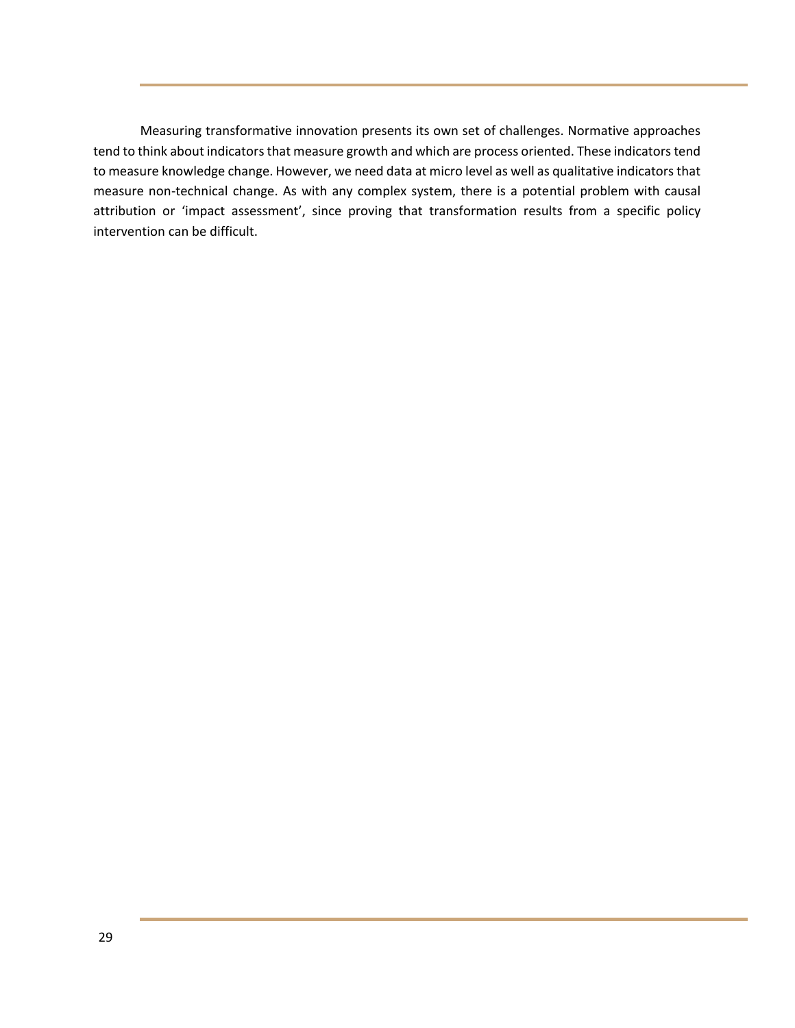Measuring transformative innovation presents its own set of challenges. Normative approaches tend to think about indicators that measure growth and which are process oriented. These indicators tend to measure knowledge change. However, we need data at micro level as well as qualitative indicators that measure non-technical change. As with any complex system, there is a potential problem with causal attribution or 'impact assessment', since proving that transformation results from a specific policy intervention can be difficult.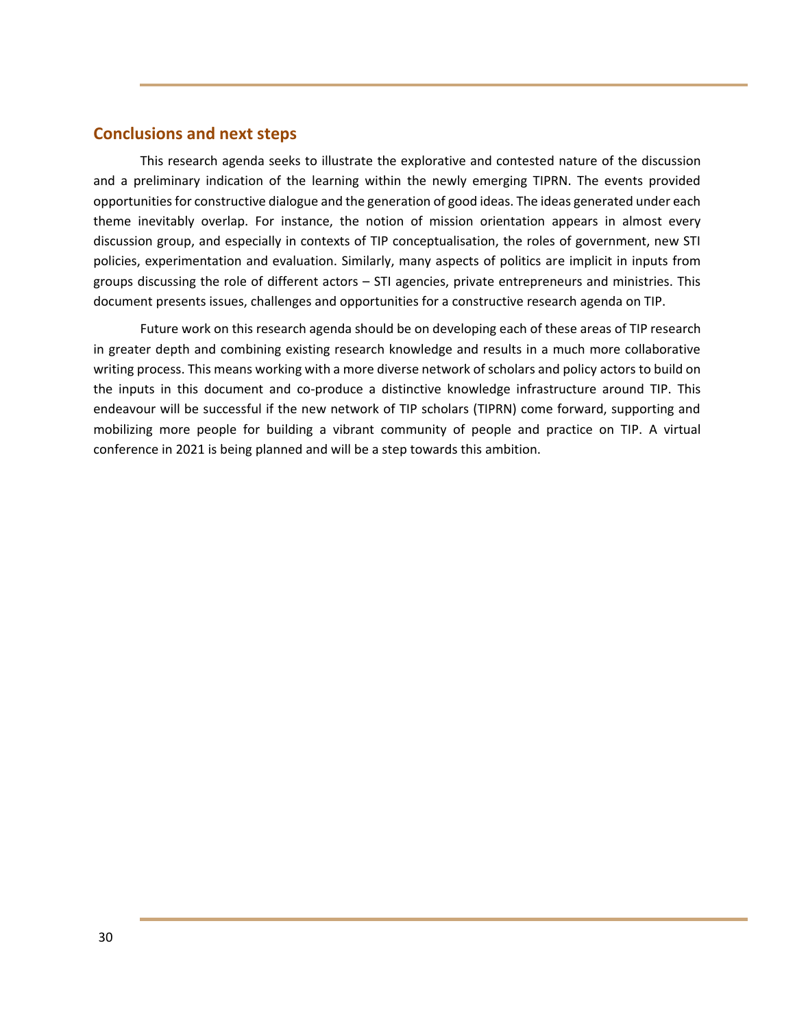## **Conclusions and next steps**

This research agenda seeks to illustrate the explorative and contested nature of the discussion and a preliminary indication of the learning within the newly emerging TIPRN. The events provided opportunities for constructive dialogue and the generation of good ideas. The ideas generated under each theme inevitably overlap. For instance, the notion of mission orientation appears in almost every discussion group, and especially in contexts of TIP conceptualisation, the roles of government, new STI policies, experimentation and evaluation. Similarly, many aspects of politics are implicit in inputs from groups discussing the role of different actors – STI agencies, private entrepreneurs and ministries. This document presents issues, challenges and opportunities for a constructive research agenda on TIP.

Future work on this research agenda should be on developing each of these areas of TIP research in greater depth and combining existing research knowledge and results in a much more collaborative writing process. This means working with a more diverse network of scholars and policy actors to build on the inputs in this document and co-produce a distinctive knowledge infrastructure around TIP. This endeavour will be successful if the new network of TIP scholars (TIPRN) come forward, supporting and mobilizing more people for building a vibrant community of people and practice on TIP. A virtual conference in 2021 is being planned and will be a step towards this ambition.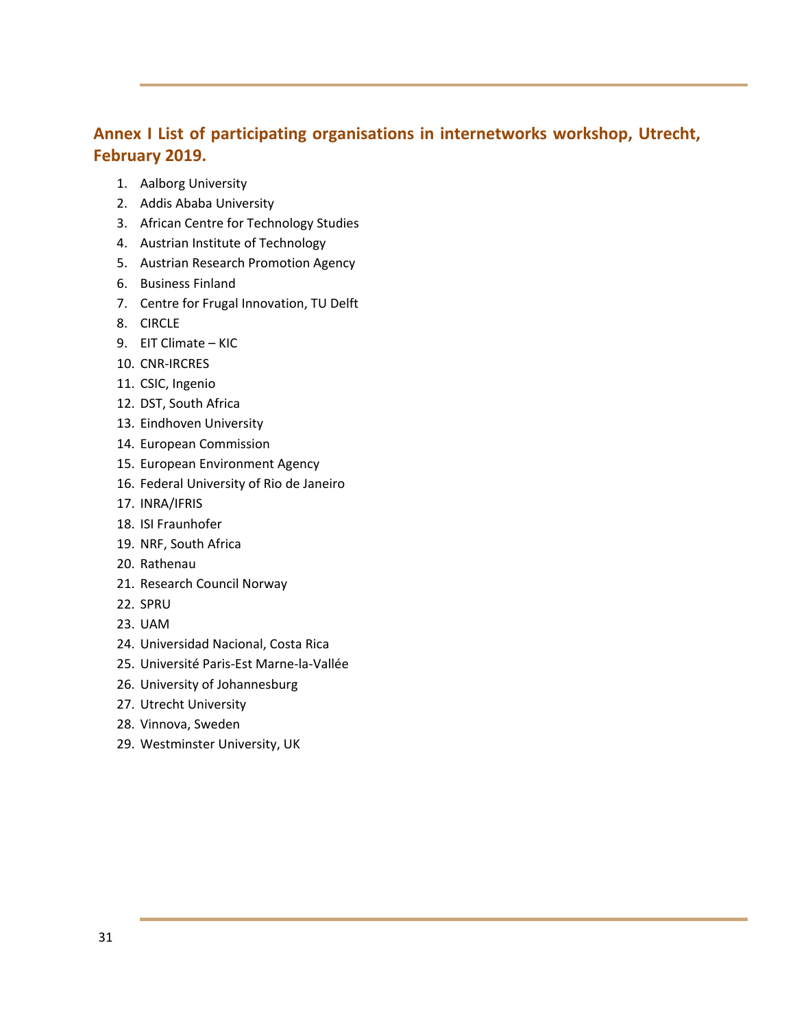## **Annex I List of participating organisations in internetworks workshop, Utrecht, February 2019.**

- 1. Aalborg University
- 2. Addis Ababa University
- 3. African Centre for Technology Studies
- 4. Austrian Institute of Technology
- 5. Austrian Research Promotion Agency
- 6. Business Finland
- 7. Centre for Frugal Innovation, TU Delft
- 8. CIRCLE
- 9. EIT Climate KIC
- 10. CNR-IRCRES
- 11. CSIC, Ingenio
- 12. DST, South Africa
- 13. Eindhoven University
- 14. European Commission
- 15. European Environment Agency
- 16. Federal University of Rio de Janeiro
- 17. INRA/IFRIS
- 18. ISI Fraunhofer
- 19. NRF, South Africa
- 20. Rathenau
- 21. Research Council Norway
- 22. SPRU
- 23. UAM
- 24. Universidad Nacional, Costa Rica
- 25. Université Paris-Est Marne-la-Vallée
- 26. University of Johannesburg
- 27. Utrecht University
- 28. Vinnova, Sweden
- 29. Westminster University, UK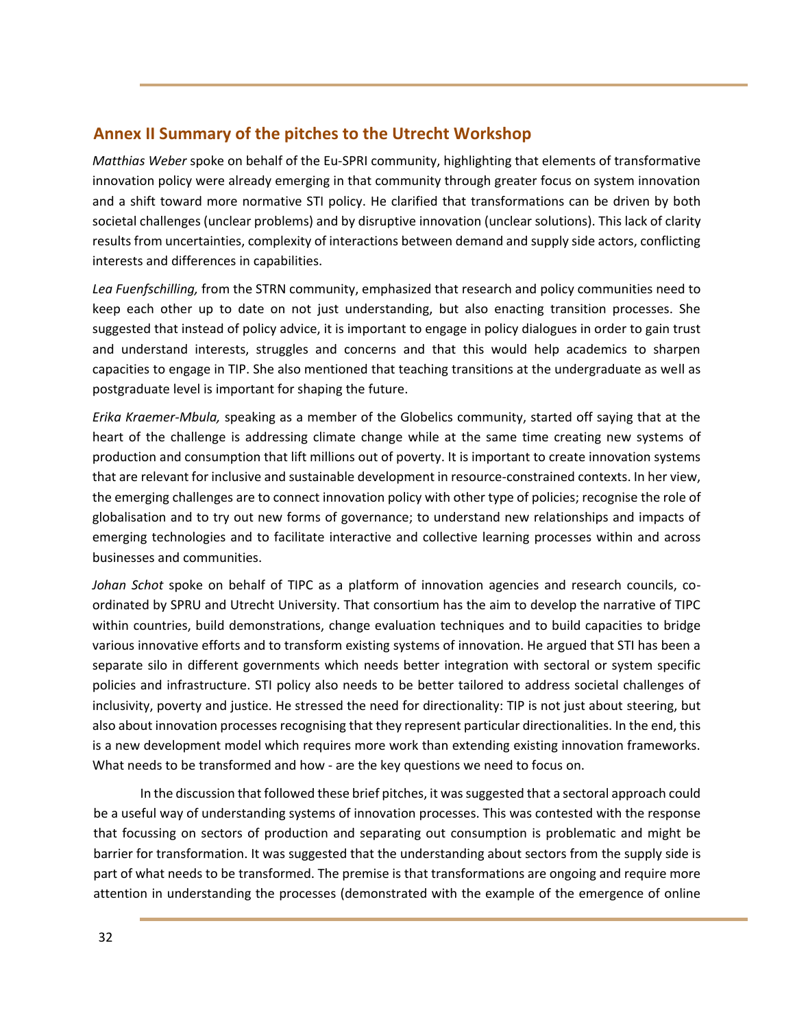## **Annex II Summary of the pitches to the Utrecht Workshop**

*Matthias Weber* spoke on behalf of the Eu-SPRI community, highlighting that elements of transformative innovation policy were already emerging in that community through greater focus on system innovation and a shift toward more normative STI policy. He clarified that transformations can be driven by both societal challenges (unclear problems) and by disruptive innovation (unclear solutions). This lack of clarity results from uncertainties, complexity of interactions between demand and supply side actors, conflicting interests and differences in capabilities.

*Lea Fuenfschilling,* from the STRN community, emphasized that research and policy communities need to keep each other up to date on not just understanding, but also enacting transition processes. She suggested that instead of policy advice, it is important to engage in policy dialogues in order to gain trust and understand interests, struggles and concerns and that this would help academics to sharpen capacities to engage in TIP. She also mentioned that teaching transitions at the undergraduate as well as postgraduate level is important for shaping the future.

*Erika Kraemer-Mbula,* speaking as a member of the Globelics community, started off saying that at the heart of the challenge is addressing climate change while at the same time creating new systems of production and consumption that lift millions out of poverty. It is important to create innovation systems that are relevant for inclusive and sustainable development in resource-constrained contexts. In her view, the emerging challenges are to connect innovation policy with other type of policies; recognise the role of globalisation and to try out new forms of governance; to understand new relationships and impacts of emerging technologies and to facilitate interactive and collective learning processes within and across businesses and communities.

*Johan Schot* spoke on behalf of TIPC as a platform of innovation agencies and research councils, coordinated by SPRU and Utrecht University. That consortium has the aim to develop the narrative of TIPC within countries, build demonstrations, change evaluation techniques and to build capacities to bridge various innovative efforts and to transform existing systems of innovation. He argued that STI has been a separate silo in different governments which needs better integration with sectoral or system specific policies and infrastructure. STI policy also needs to be better tailored to address societal challenges of inclusivity, poverty and justice. He stressed the need for directionality: TIP is not just about steering, but also about innovation processes recognising that they represent particular directionalities. In the end, this is a new development model which requires more work than extending existing innovation frameworks. What needs to be transformed and how - are the key questions we need to focus on.

In the discussion that followed these brief pitches, it was suggested that a sectoral approach could be a useful way of understanding systems of innovation processes. This was contested with the response that focussing on sectors of production and separating out consumption is problematic and might be barrier for transformation. It was suggested that the understanding about sectors from the supply side is part of what needs to be transformed. The premise is that transformations are ongoing and require more attention in understanding the processes (demonstrated with the example of the emergence of online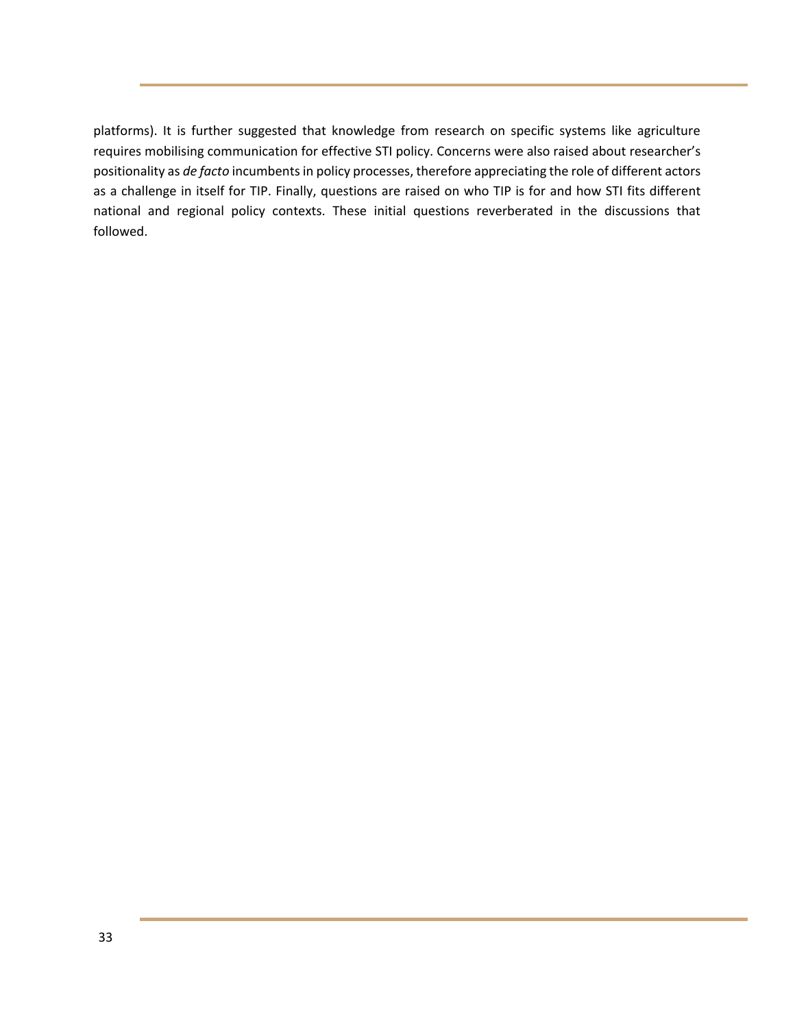platforms). It is further suggested that knowledge from research on specific systems like agriculture requires mobilising communication for effective STI policy. Concerns were also raised about researcher's positionality as *de facto* incumbents in policy processes, therefore appreciating the role of different actors as a challenge in itself for TIP. Finally, questions are raised on who TIP is for and how STI fits different national and regional policy contexts. These initial questions reverberated in the discussions that followed.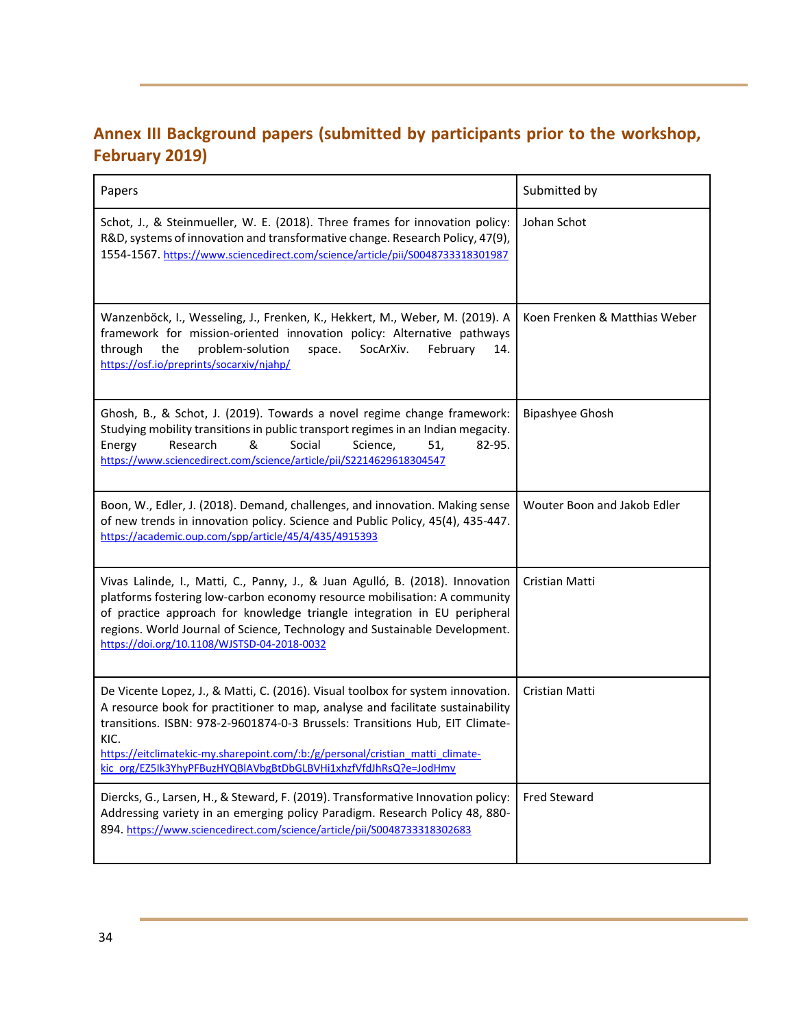## **Annex III Background papers (submitted by participants prior to the workshop, February 2019)**

| Papers                                                                                                                                                                                                                                                                                                                                                                                                         | Submitted by                  |
|----------------------------------------------------------------------------------------------------------------------------------------------------------------------------------------------------------------------------------------------------------------------------------------------------------------------------------------------------------------------------------------------------------------|-------------------------------|
| Schot, J., & Steinmueller, W. E. (2018). Three frames for innovation policy:<br>R&D, systems of innovation and transformative change. Research Policy, 47(9),<br>1554-1567. https://www.sciencedirect.com/science/article/pii/S0048733318301987                                                                                                                                                                | Johan Schot                   |
| Wanzenböck, I., Wesseling, J., Frenken, K., Hekkert, M., Weber, M. (2019). A<br>framework for mission-oriented innovation policy: Alternative pathways<br>through<br>the<br>problem-solution<br>SocArXiv.<br>space.<br>February<br>14.<br>https://osf.io/preprints/socarxiv/njahp/                                                                                                                             | Koen Frenken & Matthias Weber |
| Ghosh, B., & Schot, J. (2019). Towards a novel regime change framework:<br>Studying mobility transitions in public transport regimes in an Indian megacity.<br>Research<br>&<br>Social<br>82-95.<br>Energy<br>Science,<br>51,<br>https://www.sciencedirect.com/science/article/pii/S2214629618304547                                                                                                           | <b>Bipashyee Ghosh</b>        |
| Boon, W., Edler, J. (2018). Demand, challenges, and innovation. Making sense<br>of new trends in innovation policy. Science and Public Policy, 45(4), 435-447.<br>https://academic.oup.com/spp/article/45/4/435/4915393                                                                                                                                                                                        | Wouter Boon and Jakob Edler   |
| Vivas Lalinde, I., Matti, C., Panny, J., & Juan Agulló, B. (2018). Innovation<br>platforms fostering low-carbon economy resource mobilisation: A community<br>of practice approach for knowledge triangle integration in EU peripheral<br>regions. World Journal of Science, Technology and Sustainable Development.<br>https://doi.org/10.1108/WJSTSD-04-2018-0032                                            | Cristian Matti                |
| De Vicente Lopez, J., & Matti, C. (2016). Visual toolbox for system innovation.<br>A resource book for practitioner to map, analyse and facilitate sustainability<br>transitions. ISBN: 978-2-9601874-0-3 Brussels: Transitions Hub, EIT Climate-<br>KIC.<br>https://eitclimatekic-my.sharenoint.com/tht/g/personal/cristian_matti_climate-<br>kic org/EZ5Ik3YhyPFBuzHYQBIAVbgBtDbGLBVHi1xhzfVfdJhRsQ?e=JodHmv | Cristian Matti                |
| Diercks, G., Larsen, H., & Steward, F. (2019). Transformative Innovation policy:<br>Addressing variety in an emerging policy Paradigm. Research Policy 48, 880-<br>894. https://www.sciencedirect.com/science/article/pii/S0048733318302683                                                                                                                                                                    | <b>Fred Steward</b>           |